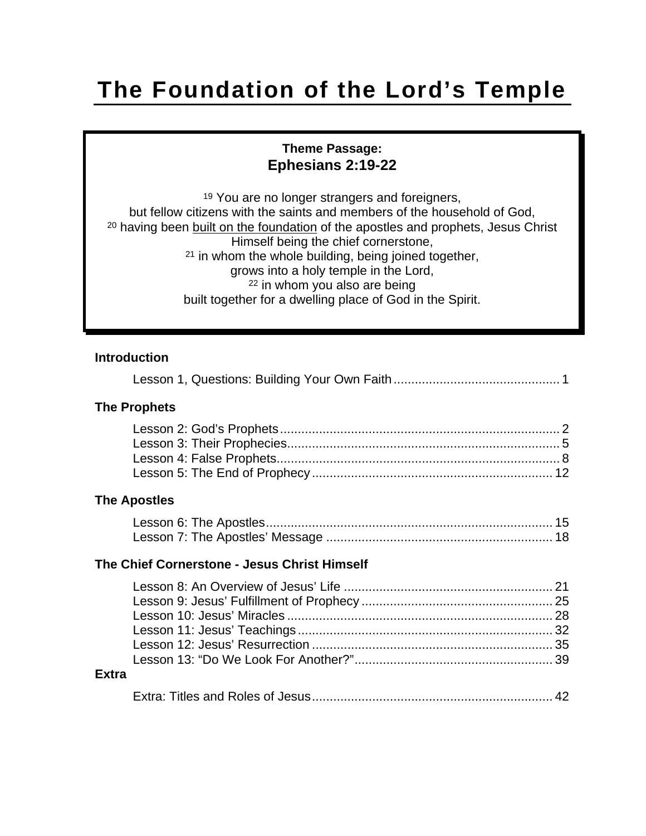# **The Foundation of the Lord's Temple**

### **Theme Passage: Ephesians 2:19-22**

19 You are no longer strangers and foreigners, but fellow citizens with the saints and members of the household of God, 20 having been built on the foundation of the apostles and prophets, Jesus Christ Himself being the chief cornerstone, 21 in whom the whole building, being joined together, grows into a holy temple in the Lord, 22 in whom you also are being built together for a dwelling place of God in the Spirit.

### **Introduction**

|--|--|--|--|--|--|--|

### **The Prophets**

### **The Apostles**

### **The Chief Cornerstone - Jesus Christ Himself**

| <b>Fxtra</b> |  |
|--------------|--|
|              |  |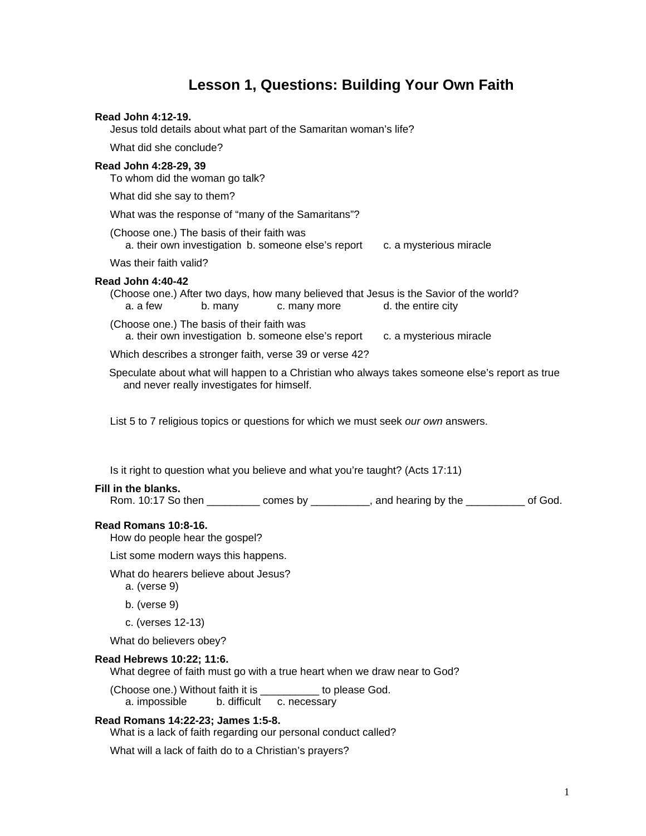### **Lesson 1, Questions: Building Your Own Faith**

#### <span id="page-1-0"></span>**Read John 4:12-19.**

Jesus told details about what part of the Samaritan woman's life?

What did she conclude?

#### **Read John 4:28-29, 39**

To whom did the woman go talk?

What did she say to them?

What was the response of "many of the Samaritans"?

 (Choose one.) The basis of their faith was a. their own investigation b. someone else's report c. a mysterious miracle

Was their faith valid?

#### **Read John 4:40-42**

 (Choose one.) After two days, how many believed that Jesus is the Savior of the world? a. a few b. many c. many more d. the entire city

(Choose one.) The basis of their faith was

a. their own investigation b. someone else's report c. a mysterious miracle

Which describes a stronger faith, verse 39 or verse 42?

Speculate about what will happen to a Christian who always takes someone else's report as true and never really investigates for himself.

List 5 to 7 religious topics or questions for which we must seek *our own* answers.

Is it right to question what you believe and what you're taught? (Acts 17:11)

#### **Fill in the blanks.**

Rom. 10:17 So then comes by equal hearing by the same of God.

#### **Read Romans 10:8-16.**

How do people hear the gospel?

List some modern ways this happens.

What do hearers believe about Jesus?

a. (verse 9)

- b. (verse 9)
- c. (verses 12-13)

What do believers obey?

#### **Read Hebrews 10:22; 11:6.**

What degree of faith must go with a true heart when we draw near to God?

 (Choose one.) Without faith it is \_\_\_\_\_\_\_\_\_\_ to please God. a. impossible b. difficult c. necessary

#### **Read Romans 14:22-23; James 1:5-8.**

What is a lack of faith regarding our personal conduct called?

What will a lack of faith do to a Christian's prayers?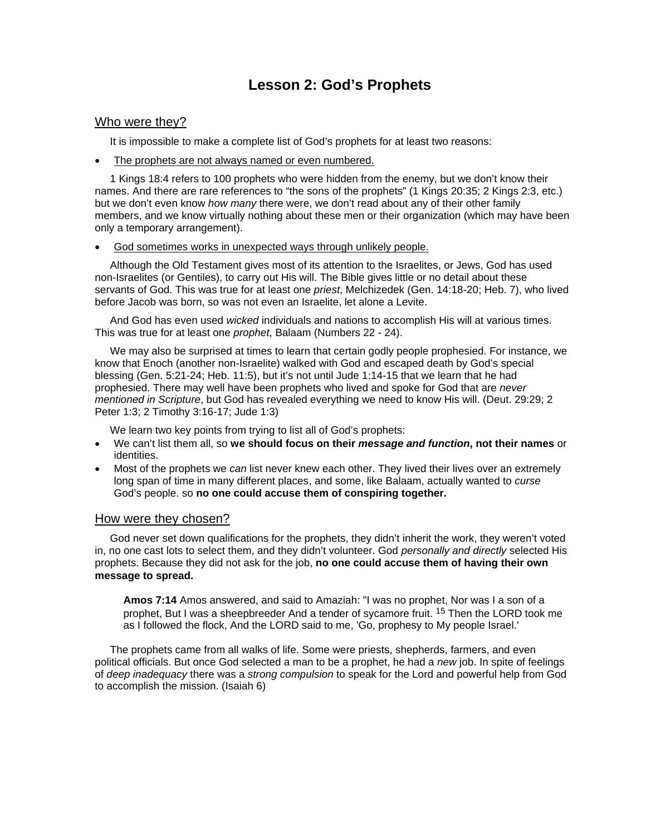# **Lesson 2: God's Prophets**

#### <span id="page-2-0"></span>Who were they?

It is impossible to make a complete list of God's prophets for at least two reasons:

• The prophets are not always named or even numbered.

 1 Kings 18:4 refers to 100 prophets who were hidden from the enemy, but we don't know their names. And there are rare references to "the sons of the prophets" (1 Kings 20:35; 2 Kings 2:3, etc.) but we don't even know *how many* there were, we don't read about any of their other family members, and we know virtually nothing about these men or their organization (which may have been only a temporary arrangement).

God sometimes works in unexpected ways through unlikely people.

 Although the Old Testament gives most of its attention to the Israelites, or Jews, God has used non-Israelites (or Gentiles), to carry out His will. The Bible gives little or no detail about these servants of God. This was true for at least one *priest*, Melchizedek (Gen. 14:18-20; Heb. 7), who lived before Jacob was born, so was not even an Israelite, let alone a Levite.

 And God has even used *wicked* individuals and nations to accomplish His will at various times. This was true for at least one *prophet*, Balaam (Numbers 22 - 24).

 We may also be surprised at times to learn that certain godly people prophesied. For instance, we know that Enoch (another non-Israelite) walked with God and escaped death by God's special blessing (Gen. 5:21-24; Heb. 11:5), but it's not until Jude 1:14-15 that we learn that he had prophesied. There may well have been prophets who lived and spoke for God that are *never mentioned in Scripture*, but God has revealed everything we need to know His will. (Deut. 29:29; 2 Peter 1:3; 2 Timothy 3:16-17; Jude 1:3)

We learn two key points from trying to list all of God's prophets:

- We can't list them all, so **we should focus on their** *message and function***, not their names** or identities.
- Most of the prophets we *can* list never knew each other. They lived their lives over an extremely long span of time in many different places, and some, like Balaam, actually wanted to *curse* God's people. so **no one could accuse them of conspiring together.**

#### How were they chosen?

 God never set down qualifications for the prophets, they didn't inherit the work, they weren't voted in, no one cast lots to select them, and they didn't volunteer. God *personally and directly* selected His prophets. Because they did not ask for the job, **no one could accuse them of having their own message to spread.** 

**Amos 7:14** Amos answered, and said to Amaziah: "I was no prophet, Nor was I a son of a prophet, But I was a sheepbreeder And a tender of sycamore fruit. 15 Then the LORD took me as I followed the flock, And the LORD said to me, 'Go, prophesy to My people Israel.'

 The prophets came from all walks of life. Some were priests, shepherds, farmers, and even political officials. But once God selected a man to be a prophet, he had a *new* job. In spite of feelings of *deep inadequacy* there was a *strong compulsion* to speak for the Lord and powerful help from God to accomplish the mission. (Isaiah 6)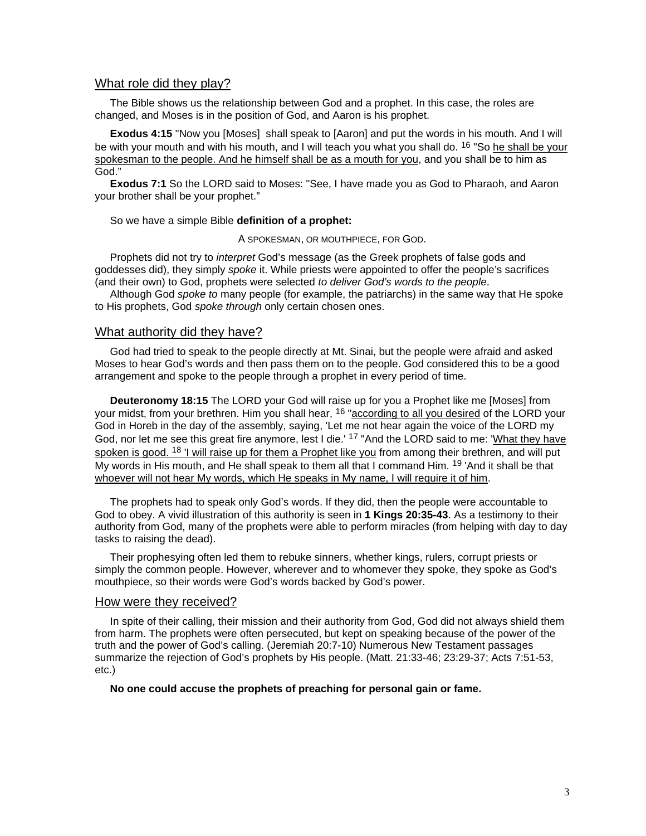#### What role did they play?

The Bible shows us the relationship between God and a prophet. In this case, the roles are changed, and Moses is in the position of God, and Aaron is his prophet.

**Exodus 4:15** "Now you [Moses] shall speak to [Aaron] and put the words in his mouth. And I will be with your mouth and with his mouth, and I will teach you what you shall do. <sup>16</sup> "So he shall be your spokesman to the people. And he himself shall be as a mouth for you, and you shall be to him as God."

 **Exodus 7:1** So the LORD said to Moses: "See, I have made you as God to Pharaoh, and Aaron your brother shall be your prophet."

So we have a simple Bible **definition of a prophet:** 

A SPOKESMAN, OR MOUTHPIECE, FOR GOD.

Prophets did not try to *interpret* God's message (as the Greek prophets of false gods and goddesses did), they simply *spoke* it. While priests were appointed to offer the people's sacrifices (and their own) to God, prophets were selected *to deliver God's words to the people*.

 Although God *spoke to* many people (for example, the patriarchs) in the same way that He spoke to His prophets, God *spoke through* only certain chosen ones.

#### What authority did they have?

God had tried to speak to the people directly at Mt. Sinai, but the people were afraid and asked Moses to hear God's words and then pass them on to the people. God considered this to be a good arrangement and spoke to the people through a prophet in every period of time.

**Deuteronomy 18:15** The LORD your God will raise up for you a Prophet like me [Moses] from your midst, from your brethren. Him you shall hear, <sup>16</sup> "according to all you desired of the LORD your God in Horeb in the day of the assembly, saying, 'Let me not hear again the voice of the LORD my God, nor let me see this great fire anymore, lest I die.' <sup>17</sup> "And the LORD said to me: 'What they have spoken is good. <sup>18</sup> 'I will raise up for them a Prophet like you from among their brethren, and will put My words in His mouth, and He shall speak to them all that I command Him. <sup>19</sup> 'And it shall be that whoever will not hear My words, which He speaks in My name, I will require it of him.

The prophets had to speak only God's words. If they did, then the people were accountable to God to obey. A vivid illustration of this authority is seen in **1 Kings 20:35-43**. As a testimony to their authority from God, many of the prophets were able to perform miracles (from helping with day to day tasks to raising the dead).

Their prophesying often led them to rebuke sinners, whether kings, rulers, corrupt priests or simply the common people. However, wherever and to whomever they spoke, they spoke as God's mouthpiece, so their words were God's words backed by God's power.

#### How were they received?

In spite of their calling, their mission and their authority from God, God did not always shield them from harm. The prophets were often persecuted, but kept on speaking because of the power of the truth and the power of God's calling. (Jeremiah 20:7-10) Numerous New Testament passages summarize the rejection of God's prophets by His people. (Matt. 21:33-46; 23:29-37; Acts 7:51-53, etc.)

**No one could accuse the prophets of preaching for personal gain or fame.**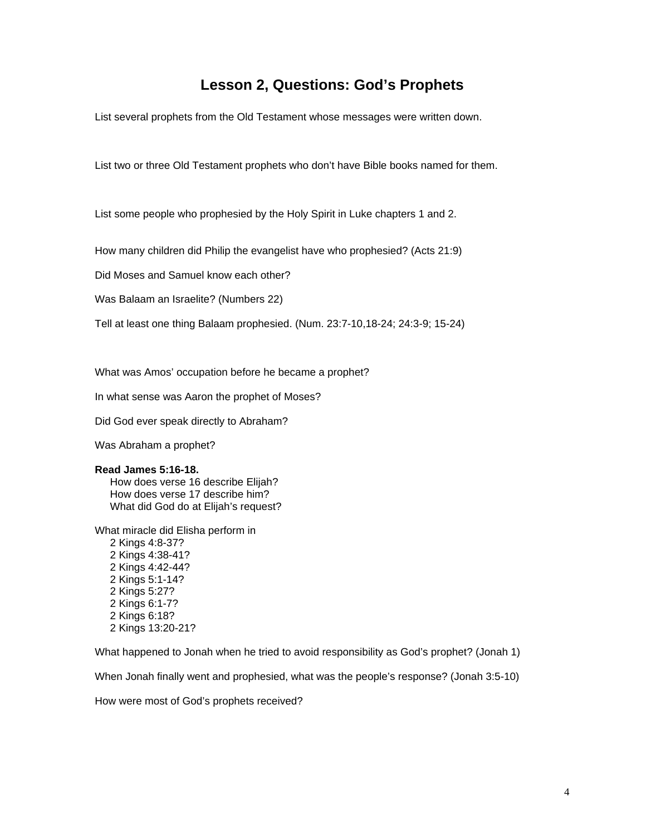# **Lesson 2, Questions: God's Prophets**

List several prophets from the Old Testament whose messages were written down.

List two or three Old Testament prophets who don't have Bible books named for them.

List some people who prophesied by the Holy Spirit in Luke chapters 1 and 2.

How many children did Philip the evangelist have who prophesied? (Acts 21:9)

Did Moses and Samuel know each other?

Was Balaam an Israelite? (Numbers 22)

Tell at least one thing Balaam prophesied. (Num. 23:7-10,18-24; 24:3-9; 15-24)

What was Amos' occupation before he became a prophet?

In what sense was Aaron the prophet of Moses?

Did God ever speak directly to Abraham?

Was Abraham a prophet?

#### **Read James 5:16-18.**

How does verse 16 describe Elijah? How does verse 17 describe him? What did God do at Elijah's request?

What miracle did Elisha perform in 2 Kings 4:8-37? 2 Kings 4:38-41? 2 Kings 4:42-44? 2 Kings 5:1-14? 2 Kings 5:27? 2 Kings 6:1-7? 2 Kings 6:18? 2 Kings 13:20-21?

What happened to Jonah when he tried to avoid responsibility as God's prophet? (Jonah 1)

When Jonah finally went and prophesied, what was the people's response? (Jonah 3:5-10)

How were most of God's prophets received?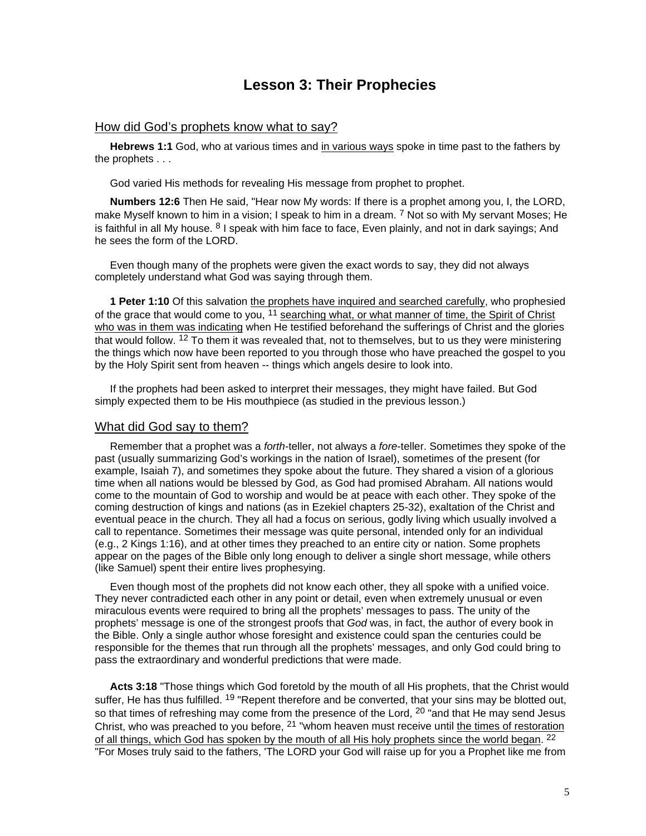### **Lesson 3: Their Prophecies**

#### <span id="page-5-0"></span>How did God's prophets know what to say?

**Hebrews 1:1** God, who at various times and in various ways spoke in time past to the fathers by the prophets . . .

God varied His methods for revealing His message from prophet to prophet.

**Numbers 12:6** Then He said, "Hear now My words: If there is a prophet among you, I, the LORD, make Myself known to him in a vision; I speak to him in a dream. <sup>7</sup> Not so with My servant Moses; He is faithful in all My house. <sup>8</sup> I speak with him face to face. Even plainly, and not in dark sayings; And he sees the form of the LORD.

Even though many of the prophets were given the exact words to say, they did not always completely understand what God was saying through them.

**1 Peter 1:10** Of this salvation the prophets have inquired and searched carefully, who prophesied of the grace that would come to you, <sup>11</sup> searching what, or what manner of time, the Spirit of Christ who was in them was indicating when He testified beforehand the sufferings of Christ and the glories that would follow. <sup>12</sup> To them it was revealed that, not to themselves, but to us they were ministering the things which now have been reported to you through those who have preached the gospel to you by the Holy Spirit sent from heaven -- things which angels desire to look into.

If the prophets had been asked to interpret their messages, they might have failed. But God simply expected them to be His mouthpiece (as studied in the previous lesson.)

#### What did God say to them?

Remember that a prophet was a *forth*-teller, not always a *fore*-teller. Sometimes they spoke of the past (usually summarizing God's workings in the nation of Israel), sometimes of the present (for example, Isaiah 7), and sometimes they spoke about the future. They shared a vision of a glorious time when all nations would be blessed by God, as God had promised Abraham. All nations would come to the mountain of God to worship and would be at peace with each other. They spoke of the coming destruction of kings and nations (as in Ezekiel chapters 25-32), exaltation of the Christ and eventual peace in the church. They all had a focus on serious, godly living which usually involved a call to repentance. Sometimes their message was quite personal, intended only for an individual (e.g., 2 Kings 1:16), and at other times they preached to an entire city or nation. Some prophets appear on the pages of the Bible only long enough to deliver a single short message, while others (like Samuel) spent their entire lives prophesying.

 Even though most of the prophets did not know each other, they all spoke with a unified voice. They never contradicted each other in any point or detail, even when extremely unusual or even miraculous events were required to bring all the prophets' messages to pass. The unity of the prophets' message is one of the strongest proofs that *God* was, in fact, the author of every book in the Bible. Only a single author whose foresight and existence could span the centuries could be responsible for the themes that run through all the prophets' messages, and only God could bring to pass the extraordinary and wonderful predictions that were made.

**Acts 3:18** "Those things which God foretold by the mouth of all His prophets, that the Christ would suffer, He has thus fulfilled. <sup>19</sup> "Repent therefore and be converted, that your sins may be blotted out, so that times of refreshing may come from the presence of the Lord, <sup>20</sup> "and that He may send Jesus Christ, who was preached to you before, 21 "whom heaven must receive until the times of restoration of all things, which God has spoken by the mouth of all His holy prophets since the world began.  $22$ "For Moses truly said to the fathers, 'The LORD your God will raise up for you a Prophet like me from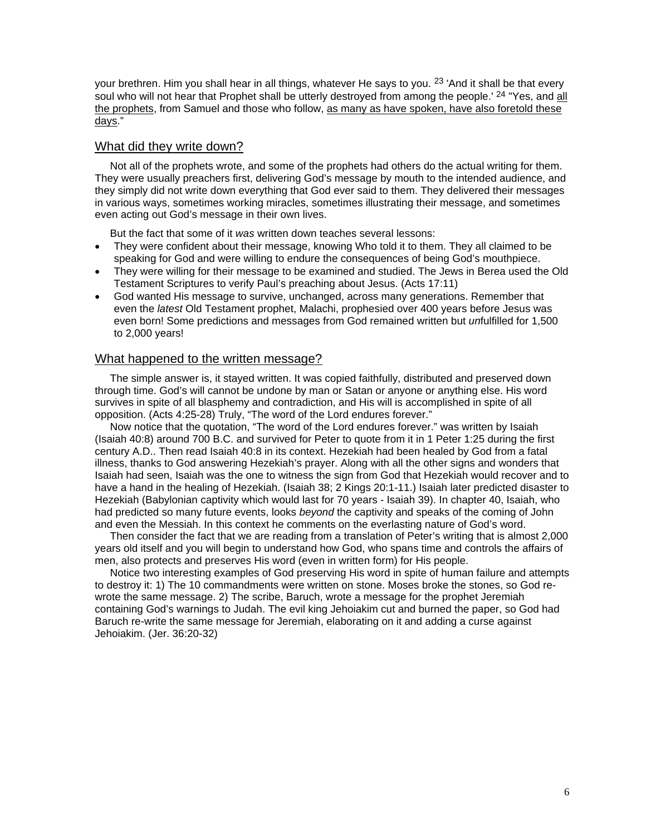your brethren. Him you shall hear in all things, whatever He says to you. <sup>23</sup> 'And it shall be that every soul who will not hear that Prophet shall be utterly destroyed from among the people.<sup>' 24</sup> "Yes, and all the prophets, from Samuel and those who follow, as many as have spoken, have also foretold these days."

#### What did they write down?

Not all of the prophets wrote, and some of the prophets had others do the actual writing for them. They were usually preachers first, delivering God's message by mouth to the intended audience, and they simply did not write down everything that God ever said to them. They delivered their messages in various ways, sometimes working miracles, sometimes illustrating their message, and sometimes even acting out God's message in their own lives.

But the fact that some of it *was* written down teaches several lessons:

- They were confident about their message, knowing Who told it to them. They all claimed to be speaking for God and were willing to endure the consequences of being God's mouthpiece.
- They were willing for their message to be examined and studied. The Jews in Berea used the Old Testament Scriptures to verify Paul's preaching about Jesus. (Acts 17:11)
- God wanted His message to survive, unchanged, across many generations. Remember that even the *latest* Old Testament prophet, Malachi, prophesied over 400 years before Jesus was even born! Some predictions and messages from God remained written but *un*fulfilled for 1,500 to 2,000 years!

#### What happened to the written message?

The simple answer is, it stayed written. It was copied faithfully, distributed and preserved down through time. God's will cannot be undone by man or Satan or anyone or anything else. His word survives in spite of all blasphemy and contradiction, and His will is accomplished in spite of all opposition. (Acts 4:25-28) Truly, "The word of the Lord endures forever."

Now notice that the quotation, "The word of the Lord endures forever." was written by Isaiah (Isaiah 40:8) around 700 B.C. and survived for Peter to quote from it in 1 Peter 1:25 during the first century A.D.. Then read Isaiah 40:8 in its context. Hezekiah had been healed by God from a fatal illness, thanks to God answering Hezekiah's prayer. Along with all the other signs and wonders that Isaiah had seen, Isaiah was the one to witness the sign from God that Hezekiah would recover and to have a hand in the healing of Hezekiah. (Isaiah 38; 2 Kings 20:1-11.) Isaiah later predicted disaster to Hezekiah (Babylonian captivity which would last for 70 years - Isaiah 39). In chapter 40, Isaiah, who had predicted so many future events, looks *beyond* the captivity and speaks of the coming of John and even the Messiah. In this context he comments on the everlasting nature of God's word.

Then consider the fact that we are reading from a translation of Peter's writing that is almost 2,000 years old itself and you will begin to understand how God, who spans time and controls the affairs of men, also protects and preserves His word (even in written form) for His people.

Notice two interesting examples of God preserving His word in spite of human failure and attempts to destroy it: 1) The 10 commandments were written on stone. Moses broke the stones, so God rewrote the same message. 2) The scribe, Baruch, wrote a message for the prophet Jeremiah containing God's warnings to Judah. The evil king Jehoiakim cut and burned the paper, so God had Baruch re-write the same message for Jeremiah, elaborating on it and adding a curse against Jehoiakim. (Jer. 36:20-32)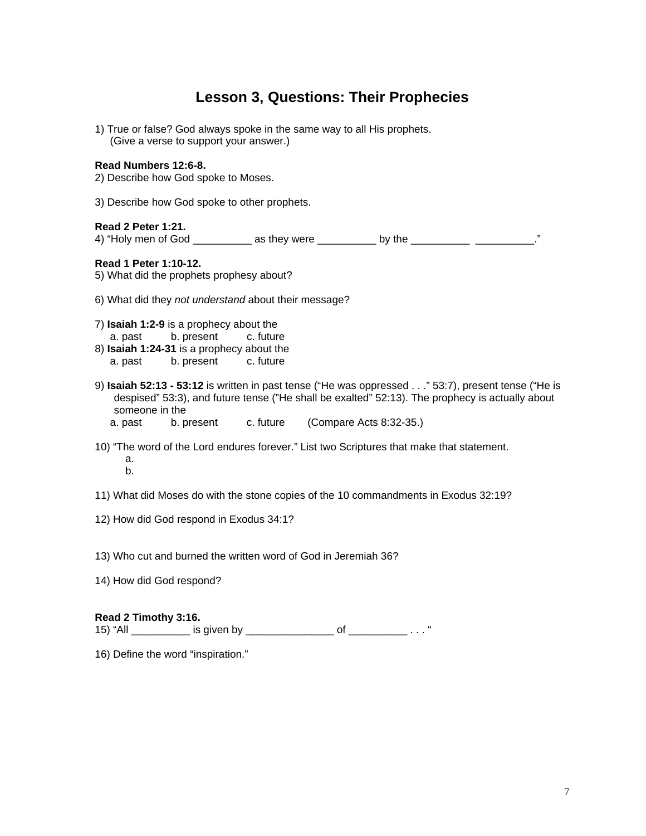# **Lesson 3, Questions: Their Prophecies**

| 1) True or false? God always spoke in the same way to all His prophets.<br>(Give a verse to support your answer.)                                                                                                                                                                    |
|--------------------------------------------------------------------------------------------------------------------------------------------------------------------------------------------------------------------------------------------------------------------------------------|
| Read Numbers 12:6-8.<br>2) Describe how God spoke to Moses.                                                                                                                                                                                                                          |
| 3) Describe how God spoke to other prophets.                                                                                                                                                                                                                                         |
| <b>Read 2 Peter 1:21.</b><br>4) "Holy men of God ____________ as they were ___________ by the ___________ __________                                                                                                                                                                 |
| Read 1 Peter 1:10-12.<br>5) What did the prophets prophesy about?                                                                                                                                                                                                                    |
| 6) What did they not understand about their message?                                                                                                                                                                                                                                 |
| 7) Isaiah 1:2-9 is a prophecy about the<br>b. present c. future<br>a. past<br>8) Isaiah 1:24-31 is a prophecy about the<br>b. present c. future<br>a. past                                                                                                                           |
| 9) Isaiah 52:13 - 53:12 is written in past tense ("He was oppressed" 53:7), present tense ("He is<br>despised" 53:3), and future tense ("He shall be exalted" 52:13). The prophecy is actually about<br>someone in the<br>b. present c. future<br>(Compare Acts 8:32-35.)<br>a. past |
| 10) "The word of the Lord endures forever." List two Scriptures that make that statement.<br>a.<br>b.                                                                                                                                                                                |
| 11) What did Moses do with the stone copies of the 10 commandments in Exodus 32:19?                                                                                                                                                                                                  |
| 12) How did God respond in Exodus 34:1?                                                                                                                                                                                                                                              |
| 13) Who cut and burned the written word of God in Jeremiah 36?                                                                                                                                                                                                                       |

14) How did God respond?

### **Read 2 Timothy 3:16.**

15) "All \_\_\_\_\_\_\_\_\_\_ is given by \_\_\_\_\_\_\_\_\_\_\_\_\_\_\_ of \_\_\_\_\_\_\_\_\_\_ . . . "

16) Define the word "inspiration."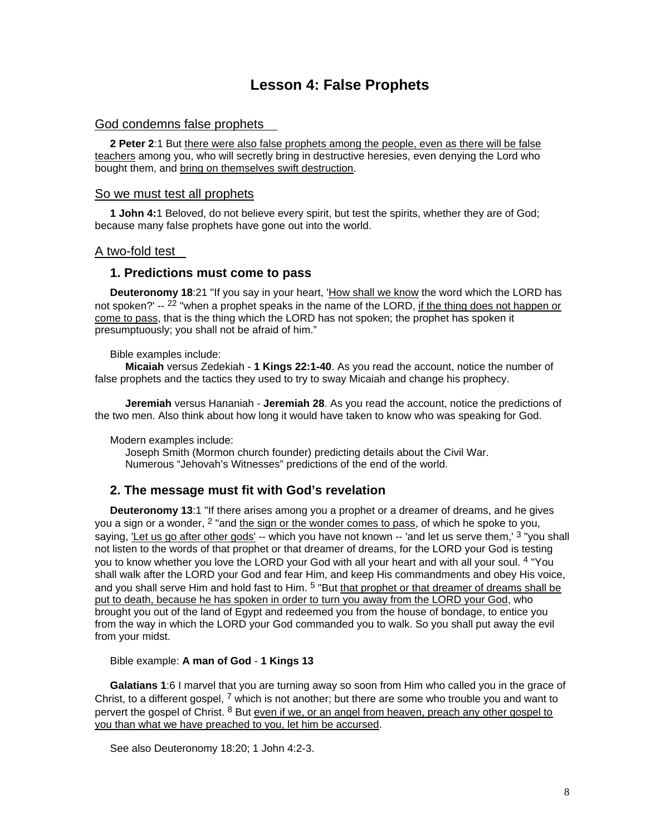# **Lesson 4: False Prophets**

#### <span id="page-8-0"></span>God condemns false prophets

**2 Peter 2**:1 But there were also false prophets among the people, even as there will be false teachers among you, who will secretly bring in destructive heresies, even denying the Lord who bought them, and bring on themselves swift destruction.

#### So we must test all prophets

**1 John 4:**1 Beloved, do not believe every spirit, but test the spirits, whether they are of God; because many false prophets have gone out into the world.

#### A two-fold test

#### **1. Predictions must come to pass**

**Deuteronomy 18**:21 "If you say in your heart, 'How shall we know the word which the LORD has not spoken?' -- <sup>22</sup> "when a prophet speaks in the name of the LORD, if the thing does not happen or come to pass, that is the thing which the LORD has not spoken; the prophet has spoken it presumptuously; you shall not be afraid of him."

Bible examples include:

 **Micaiah** versus Zedekiah - **1 Kings 22:1-40**. As you read the account, notice the number of false prophets and the tactics they used to try to sway Micaiah and change his prophecy.

 **Jeremiah** versus Hananiah - **Jeremiah 28**. As you read the account, notice the predictions of the two men. Also think about how long it would have taken to know who was speaking for God.

Modern examples include:

Joseph Smith (Mormon church founder) predicting details about the Civil War. Numerous "Jehovah's Witnesses" predictions of the end of the world.

#### **2. The message must fit with God's revelation**

**Deuteronomy 13**:1 "If there arises among you a prophet or a dreamer of dreams, and he gives you a sign or a wonder,  $2^{\circ}$  and the sign or the wonder comes to pass, of which he spoke to you, saying, 'Let us go after other gods' -- which you have not known -- 'and let us serve them,' <sup>3</sup> "you shall not listen to the words of that prophet or that dreamer of dreams, for the LORD your God is testing you to know whether you love the LORD your God with all your heart and with all your soul. <sup>4</sup> "You shall walk after the LORD your God and fear Him, and keep His commandments and obey His voice, and you shall serve Him and hold fast to Him. <sup>5</sup> "But that prophet or that dreamer of dreams shall be put to death, because he has spoken in order to turn you away from the LORD your God, who brought you out of the land of Egypt and redeemed you from the house of bondage, to entice you from the way in which the LORD your God commanded you to walk. So you shall put away the evil from your midst.

Bible example: **A man of God** - **1 Kings 13** 

**Galatians 1**:6 I marvel that you are turning away so soon from Him who called you in the grace of Christ, to a different gospel,  $^7$  which is not another; but there are some who trouble you and want to pervert the gospel of Christ. <sup>8</sup> But even if we, or an angel from heaven, preach any other gospel to you than what we have preached to you, let him be accursed.

See also Deuteronomy 18:20; 1 John 4:2-3.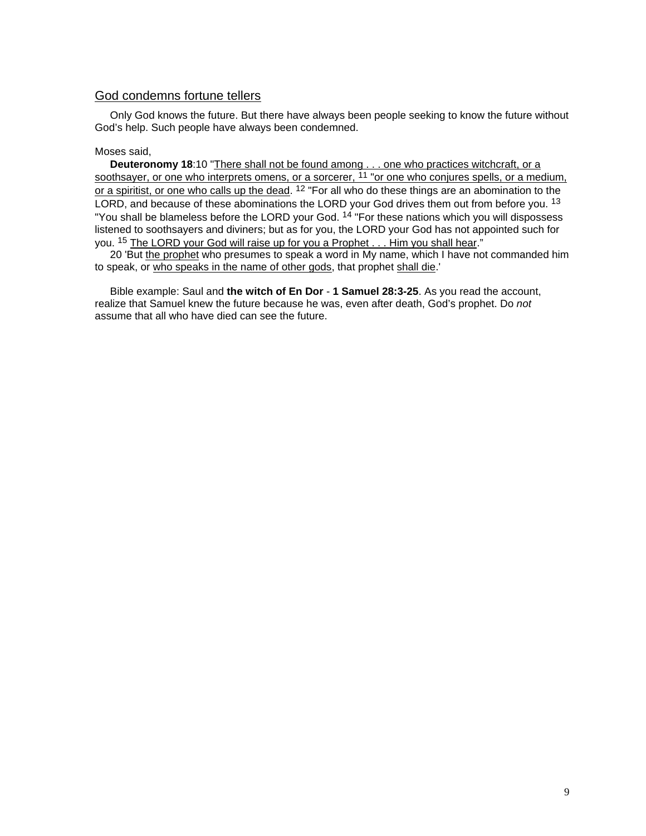#### God condemns fortune tellers

Only God knows the future. But there have always been people seeking to know the future without God's help. Such people have always been condemned.

#### Moses said,

**Deuteronomy 18:10** "There shall not be found among . . . one who practices witchcraft, or a soothsayer, or one who interprets omens, or a sorcerer, <sup>11</sup> "or one who conjures spells, or a medium, or a spiritist, or one who calls up the dead. <sup>12</sup> "For all who do these things are an abomination to the LORD, and because of these abominations the LORD your God drives them out from before you. <sup>13</sup> "You shall be blameless before the LORD your God. <sup>14</sup> "For these nations which you will dispossess" listened to soothsayers and diviners; but as for you, the LORD your God has not appointed such for you. 15 The LORD your God will raise up for you a Prophet . . . Him you shall hear."

 20 'But the prophet who presumes to speak a word in My name, which I have not commanded him to speak, or who speaks in the name of other gods, that prophet shall die.'

Bible example: Saul and **the witch of En Dor** - **1 Samuel 28:3-25**. As you read the account, realize that Samuel knew the future because he was, even after death, God's prophet. Do *not* assume that all who have died can see the future.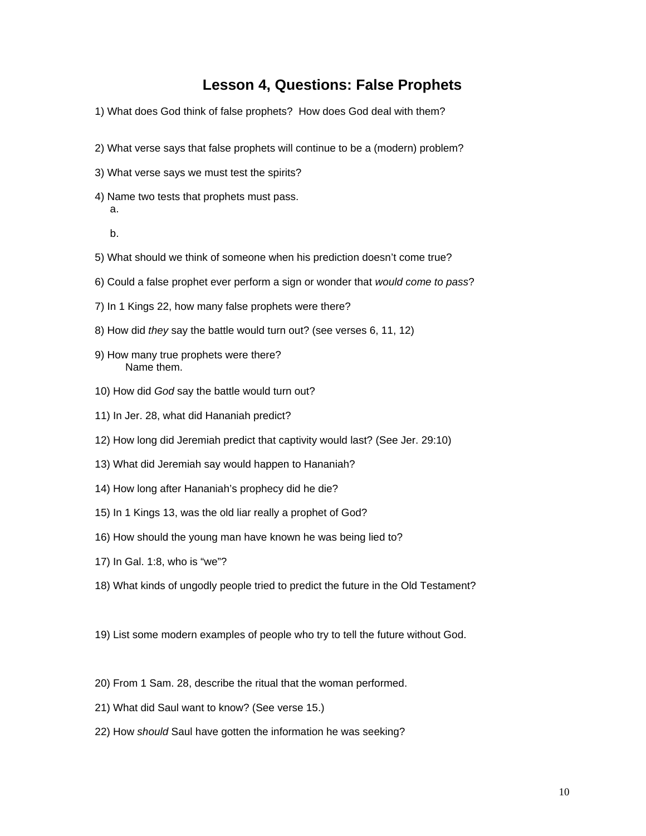### **Lesson 4, Questions: False Prophets**

- 1) What does God think of false prophets? How does God deal with them?
- 2) What verse says that false prophets will continue to be a (modern) problem?
- 3) What verse says we must test the spirits?
- 4) Name two tests that prophets must pass. a.
	- b.
- 5) What should we think of someone when his prediction doesn't come true?
- 6) Could a false prophet ever perform a sign or wonder that *would come to pass*?
- 7) In 1 Kings 22, how many false prophets were there?
- 8) How did *they* say the battle would turn out? (see verses 6, 11, 12)
- 9) How many true prophets were there? Name them.
- 10) How did *God* say the battle would turn out?
- 11) In Jer. 28, what did Hananiah predict?
- 12) How long did Jeremiah predict that captivity would last? (See Jer. 29:10)
- 13) What did Jeremiah say would happen to Hananiah?
- 14) How long after Hananiah's prophecy did he die?
- 15) In 1 Kings 13, was the old liar really a prophet of God?
- 16) How should the young man have known he was being lied to?
- 17) In Gal. 1:8, who is "we"?
- 18) What kinds of ungodly people tried to predict the future in the Old Testament?
- 19) List some modern examples of people who try to tell the future without God.
- 20) From 1 Sam. 28, describe the ritual that the woman performed.
- 21) What did Saul want to know? (See verse 15.)
- 22) How *should* Saul have gotten the information he was seeking?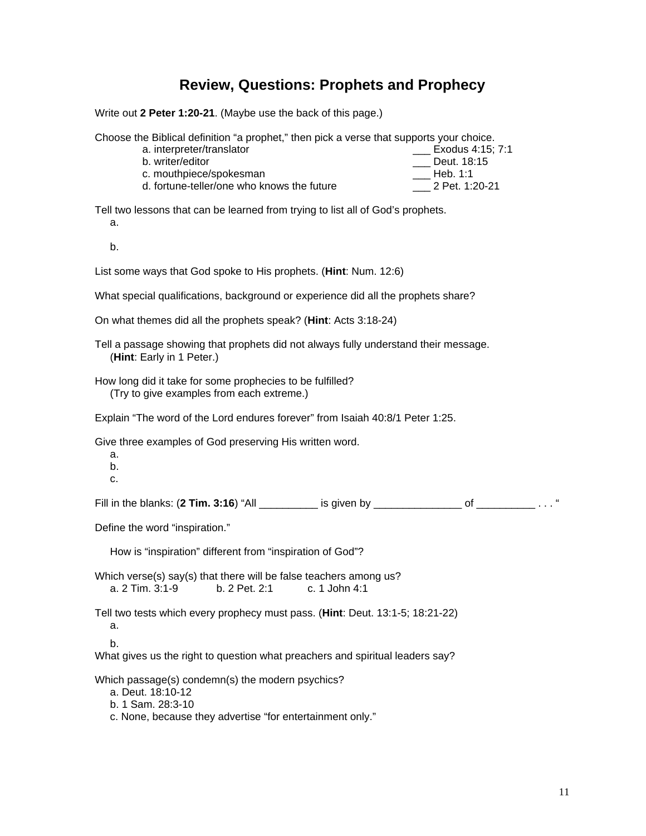# **Review, Questions: Prophets and Prophecy**

Write out **2 Peter 1:20-21**. (Maybe use the back of this page.)

Choose the Biblical definition "a prophet," then pick a verse that supports your choice.

| a. interpreter/translator                  | Exodus 4:15: 7:1 |
|--------------------------------------------|------------------|
| b. writer/editor                           | Deut. 18:15      |
| c. mouthpiece/spokesman                    | Heb. $1:1$       |
| d. fortune-teller/one who knows the future | 2 Pet. 1:20-21   |
|                                            |                  |

Tell two lessons that can be learned from trying to list all of God's prophets.

a.

b.

List some ways that God spoke to His prophets. (**Hint**: Num. 12:6)

What special qualifications, background or experience did all the prophets share?

On what themes did all the prophets speak? (**Hint**: Acts 3:18-24)

Tell a passage showing that prophets did not always fully understand their message. (**Hint**: Early in 1 Peter.)

How long did it take for some prophecies to be fulfilled? (Try to give examples from each extreme.)

Explain "The word of the Lord endures forever" from Isaiah 40:8/1 Peter 1:25.

Give three examples of God preserving His written word.

- a.
	-
- b. c.

Fill in the blanks: (2 Tim. 3:16) "All \_\_\_\_\_\_\_\_\_\_\_ is given by \_\_\_\_\_\_\_\_\_\_\_\_\_\_\_\_ of \_\_\_\_\_\_\_\_\_\_\_ . . . "

Define the word "inspiration."

How is "inspiration" different from "inspiration of God"?

Which verse(s) say(s) that there will be false teachers among us? a. 2 Tim. 3:1-9 b. 2 Pet. 2:1 c. 1 John 4:1

Tell two tests which every prophecy must pass. (**Hint**: Deut. 13:1-5; 18:21-22) a.

b.

What gives us the right to question what preachers and spiritual leaders say?

Which passage(s) condemn(s) the modern psychics?

a. Deut. 18:10-12

b. 1 Sam. 28:3-10

c. None, because they advertise "for entertainment only."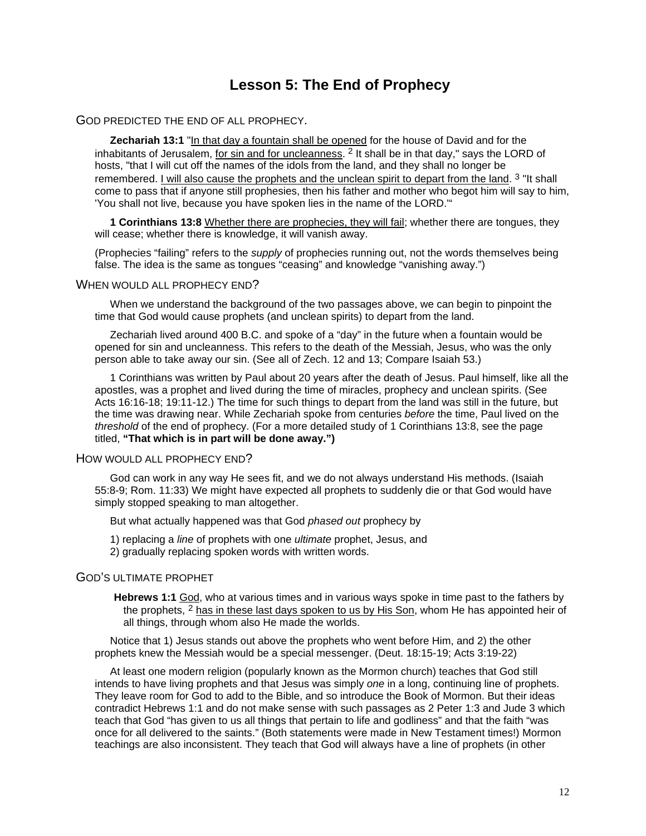# **Lesson 5: The End of Prophecy**

#### <span id="page-12-0"></span>GOD PREDICTED THE END OF ALL PROPHECY.

**Zechariah 13:1** "In that day a fountain shall be opened for the house of David and for the inhabitants of Jerusalem, for sin and for uncleanness.  $2$  It shall be in that day," says the LORD of hosts, "that I will cut off the names of the idols from the land, and they shall no longer be remembered. I will also cause the prophets and the unclean spirit to depart from the land. <sup>3</sup> "It shall come to pass that if anyone still prophesies, then his father and mother who begot him will say to him, 'You shall not live, because you have spoken lies in the name of the LORD.'"

**1 Corinthians 13:8** Whether there are prophecies, they will fail; whether there are tongues, they will cease; whether there is knowledge, it will vanish away.

(Prophecies "failing" refers to the *supply* of prophecies running out, not the words themselves being false. The idea is the same as tongues "ceasing" and knowledge "vanishing away.")

#### WHEN WOULD ALL PROPHECY END?

When we understand the background of the two passages above, we can begin to pinpoint the time that God would cause prophets (and unclean spirits) to depart from the land.

Zechariah lived around 400 B.C. and spoke of a "day" in the future when a fountain would be opened for sin and uncleanness. This refers to the death of the Messiah, Jesus, who was the only person able to take away our sin. (See all of Zech. 12 and 13; Compare Isaiah 53.)

1 Corinthians was written by Paul about 20 years after the death of Jesus. Paul himself, like all the apostles, was a prophet and lived during the time of miracles, prophecy and unclean spirits. (See Acts 16:16-18; 19:11-12.) The time for such things to depart from the land was still in the future, but the time was drawing near. While Zechariah spoke from centuries *before* the time, Paul lived on the *threshold* of the end of prophecy. (For a more detailed study of 1 Corinthians 13:8, see the page titled, **"That which is in part will be done away.")**

#### HOW WOULD ALL PROPHECY END?

God can work in any way He sees fit, and we do not always understand His methods. (Isaiah 55:8-9; Rom. 11:33) We might have expected all prophets to suddenly die or that God would have simply stopped speaking to man altogether.

But what actually happened was that God *phased out* prophecy by

- 1) replacing a *line* of prophets with one *ultimate* prophet, Jesus, and
- 2) gradually replacing spoken words with written words.

#### GOD'S ULTIMATE PROPHET

Hebrews 1:1 God, who at various times and in various ways spoke in time past to the fathers by the prophets,  $2$  has in these last days spoken to us by His Son, whom He has appointed heir of all things, through whom also He made the worlds.

Notice that 1) Jesus stands out above the prophets who went before Him, and 2) the other prophets knew the Messiah would be a special messenger. (Deut. 18:15-19; Acts 3:19-22)

At least one modern religion (popularly known as the Mormon church) teaches that God still intends to have living prophets and that Jesus was simply *one* in a long, continuing line of prophets. They leave room for God to add to the Bible, and so introduce the Book of Mormon. But their ideas contradict Hebrews 1:1 and do not make sense with such passages as 2 Peter 1:3 and Jude 3 which teach that God "has given to us all things that pertain to life and godliness" and that the faith "was once for all delivered to the saints." (Both statements were made in New Testament times!) Mormon teachings are also inconsistent. They teach that God will always have a line of prophets (in other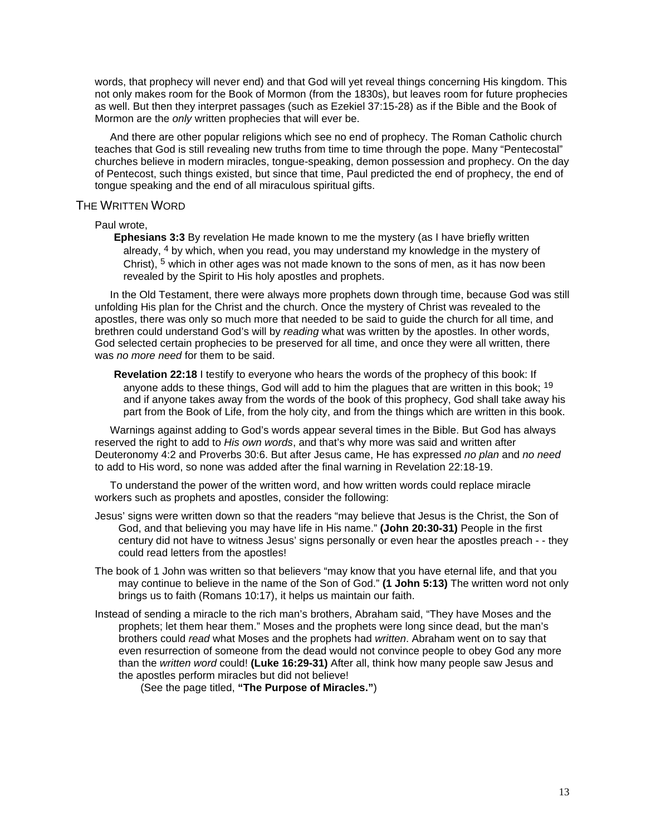words, that prophecy will never end) and that God will yet reveal things concerning His kingdom. This not only makes room for the Book of Mormon (from the 1830s), but leaves room for future prophecies as well. But then they interpret passages (such as Ezekiel 37:15-28) as if the Bible and the Book of Mormon are the *only* written prophecies that will ever be.

And there are other popular religions which see no end of prophecy. The Roman Catholic church teaches that God is still revealing new truths from time to time through the pope. Many "Pentecostal" churches believe in modern miracles, tongue-speaking, demon possession and prophecy. On the day of Pentecost, such things existed, but since that time, Paul predicted the end of prophecy, the end of tongue speaking and the end of all miraculous spiritual gifts.

#### THE WRITTEN WORD

#### Paul wrote,

**Ephesians 3:3** By revelation He made known to me the mystery (as I have briefly written already, 4 by which, when you read, you may understand my knowledge in the mystery of Christ), 5 which in other ages was not made known to the sons of men, as it has now been revealed by the Spirit to His holy apostles and prophets.

In the Old Testament, there were always more prophets down through time, because God was still unfolding His plan for the Christ and the church. Once the mystery of Christ was revealed to the apostles, there was only so much more that needed to be said to guide the church for all time, and brethren could understand God's will by *reading* what was written by the apostles. In other words, God selected certain prophecies to be preserved for all time, and once they were all written, there was *no more need* for them to be said.

**Revelation 22:18** I testify to everyone who hears the words of the prophecy of this book: If anyone adds to these things, God will add to him the plagues that are written in this book; <sup>19</sup> and if anyone takes away from the words of the book of this prophecy, God shall take away his part from the Book of Life, from the holy city, and from the things which are written in this book.

Warnings against adding to God's words appear several times in the Bible. But God has always reserved the right to add to *His own words*, and that's why more was said and written after Deuteronomy 4:2 and Proverbs 30:6. But after Jesus came, He has expressed *no plan* and *no need* to add to His word, so none was added after the final warning in Revelation 22:18-19.

To understand the power of the written word, and how written words could replace miracle workers such as prophets and apostles, consider the following:

- Jesus' signs were written down so that the readers "may believe that Jesus is the Christ, the Son of God, and that believing you may have life in His name." **(John 20:30-31)** People in the first century did not have to witness Jesus' signs personally or even hear the apostles preach - - they could read letters from the apostles!
- The book of 1 John was written so that believers "may know that you have eternal life, and that you may continue to believe in the name of the Son of God." **(1 John 5:13)** The written word not only brings us to faith (Romans 10:17), it helps us maintain our faith.
- Instead of sending a miracle to the rich man's brothers, Abraham said, "They have Moses and the prophets; let them hear them." Moses and the prophets were long since dead, but the man's brothers could *read* what Moses and the prophets had *written*. Abraham went on to say that even resurrection of someone from the dead would not convince people to obey God any more than the *written word* could! **(Luke 16:29-31)** After all, think how many people saw Jesus and the apostles perform miracles but did not believe!

(See the page titled, **"The Purpose of Miracles."**)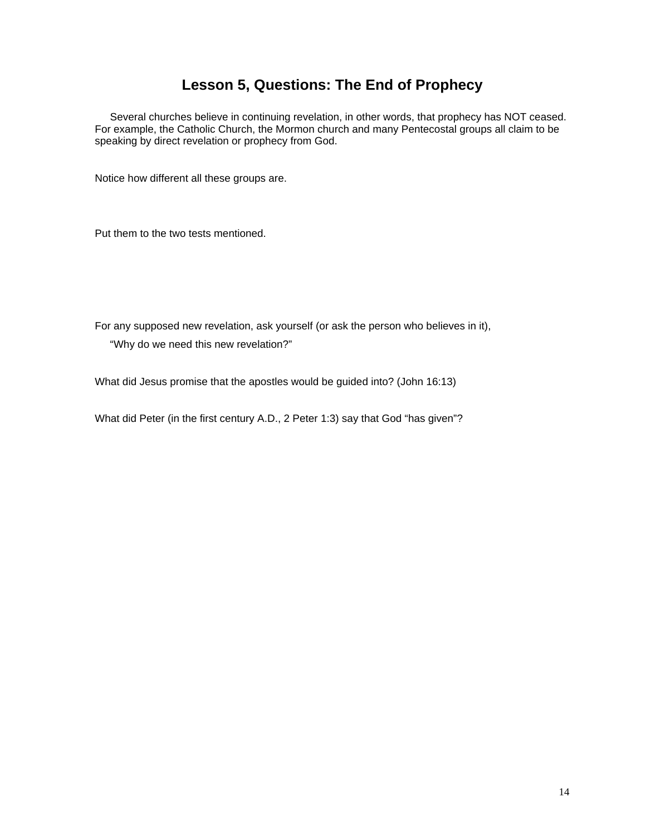# **Lesson 5, Questions: The End of Prophecy**

Several churches believe in continuing revelation, in other words, that prophecy has NOT ceased. For example, the Catholic Church, the Mormon church and many Pentecostal groups all claim to be speaking by direct revelation or prophecy from God.

Notice how different all these groups are.

Put them to the two tests mentioned.

For any supposed new revelation, ask yourself (or ask the person who believes in it), "Why do we need this new revelation?"

What did Jesus promise that the apostles would be guided into? (John 16:13)

What did Peter (in the first century A.D., 2 Peter 1:3) say that God "has given"?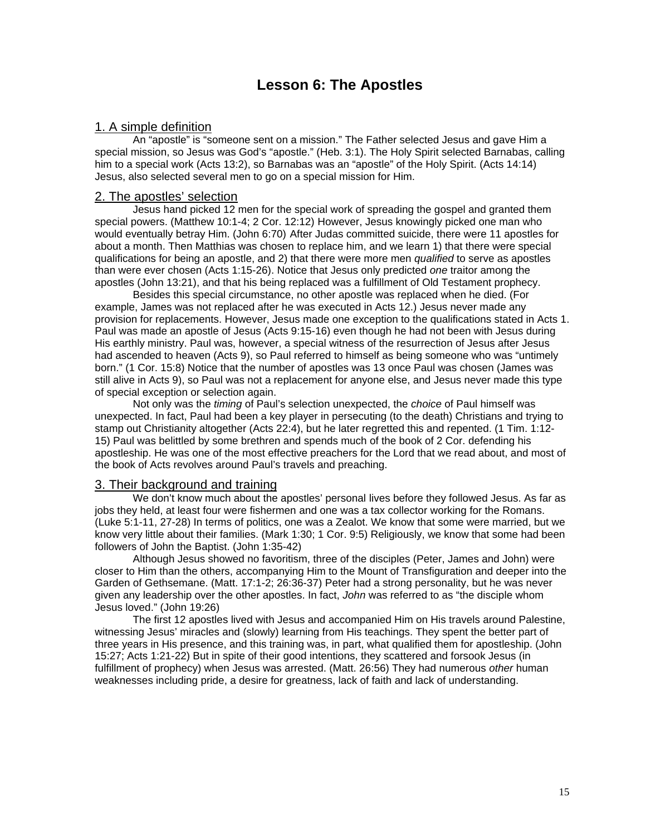### **Lesson 6: The Apostles**

#### <span id="page-15-0"></span>1. A simple definition

An "apostle" is "someone sent on a mission." The Father selected Jesus and gave Him a special mission, so Jesus was God's "apostle." (Heb. 3:1). The Holy Spirit selected Barnabas, calling him to a special work (Acts 13:2), so Barnabas was an "apostle" of the Holy Spirit. (Acts 14:14) Jesus, also selected several men to go on a special mission for Him.

#### 2. The apostles' selection

Jesus hand picked 12 men for the special work of spreading the gospel and granted them special powers. (Matthew 10:1-4; 2 Cor. 12:12) However, Jesus knowingly picked one man who would eventually betray Him. (John 6:70) After Judas committed suicide, there were 11 apostles for about a month. Then Matthias was chosen to replace him, and we learn 1) that there were special qualifications for being an apostle, and 2) that there were more men *qualified* to serve as apostles than were ever chosen (Acts 1:15-26). Notice that Jesus only predicted *one* traitor among the apostles (John 13:21), and that his being replaced was a fulfillment of Old Testament prophecy.

Besides this special circumstance, no other apostle was replaced when he died. (For example, James was not replaced after he was executed in Acts 12.) Jesus never made any provision for replacements. However, Jesus made one exception to the qualifications stated in Acts 1. Paul was made an apostle of Jesus (Acts 9:15-16) even though he had not been with Jesus during His earthly ministry. Paul was, however, a special witness of the resurrection of Jesus after Jesus had ascended to heaven (Acts 9), so Paul referred to himself as being someone who was "untimely born." (1 Cor. 15:8) Notice that the number of apostles was 13 once Paul was chosen (James was still alive in Acts 9), so Paul was not a replacement for anyone else, and Jesus never made this type of special exception or selection again.

Not only was the *timing* of Paul's selection unexpected, the *choice* of Paul himself was unexpected. In fact, Paul had been a key player in persecuting (to the death) Christians and trying to stamp out Christianity altogether (Acts 22:4), but he later regretted this and repented. (1 Tim. 1:12- 15) Paul was belittled by some brethren and spends much of the book of 2 Cor. defending his apostleship. He was one of the most effective preachers for the Lord that we read about, and most of the book of Acts revolves around Paul's travels and preaching.

#### 3. Their background and training

We don't know much about the apostles' personal lives before they followed Jesus. As far as jobs they held, at least four were fishermen and one was a tax collector working for the Romans. (Luke 5:1-11, 27-28) In terms of politics, one was a Zealot. We know that some were married, but we know very little about their families. (Mark 1:30; 1 Cor. 9:5) Religiously, we know that some had been followers of John the Baptist. (John 1:35-42)

Although Jesus showed no favoritism, three of the disciples (Peter, James and John) were closer to Him than the others, accompanying Him to the Mount of Transfiguration and deeper into the Garden of Gethsemane. (Matt. 17:1-2; 26:36-37) Peter had a strong personality, but he was never given any leadership over the other apostles. In fact, *John* was referred to as "the disciple whom Jesus loved." (John 19:26)

The first 12 apostles lived with Jesus and accompanied Him on His travels around Palestine, witnessing Jesus' miracles and (slowly) learning from His teachings. They spent the better part of three years in His presence, and this training was, in part, what qualified them for apostleship. (John 15:27; Acts 1:21-22) But in spite of their good intentions, they scattered and forsook Jesus (in fulfillment of prophecy) when Jesus was arrested. (Matt. 26:56) They had numerous *other* human weaknesses including pride, a desire for greatness, lack of faith and lack of understanding.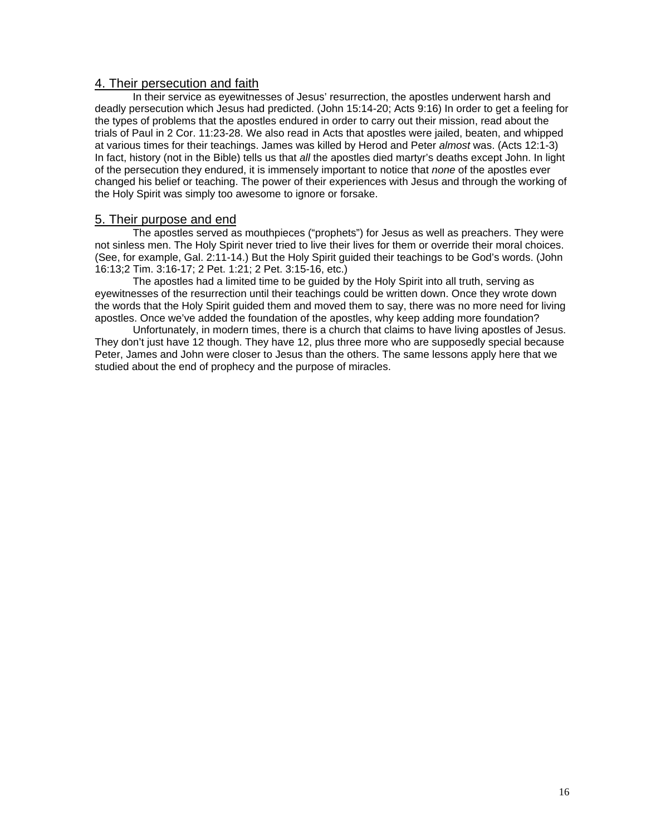#### 4. Their persecution and faith

In their service as eyewitnesses of Jesus' resurrection, the apostles underwent harsh and deadly persecution which Jesus had predicted. (John 15:14-20; Acts 9:16) In order to get a feeling for the types of problems that the apostles endured in order to carry out their mission, read about the trials of Paul in 2 Cor. 11:23-28. We also read in Acts that apostles were jailed, beaten, and whipped at various times for their teachings. James was killed by Herod and Peter *almost* was. (Acts 12:1-3) In fact, history (not in the Bible) tells us that *all* the apostles died martyr's deaths except John. In light of the persecution they endured, it is immensely important to notice that *none* of the apostles ever changed his belief or teaching. The power of their experiences with Jesus and through the working of the Holy Spirit was simply too awesome to ignore or forsake.

#### 5. Their purpose and end

The apostles served as mouthpieces ("prophets") for Jesus as well as preachers. They were not sinless men. The Holy Spirit never tried to live their lives for them or override their moral choices. (See, for example, Gal. 2:11-14.) But the Holy Spirit guided their teachings to be God's words. (John 16:13;2 Tim. 3:16-17; 2 Pet. 1:21; 2 Pet. 3:15-16, etc.)

The apostles had a limited time to be guided by the Holy Spirit into all truth, serving as eyewitnesses of the resurrection until their teachings could be written down. Once they wrote down the words that the Holy Spirit guided them and moved them to say, there was no more need for living apostles. Once we've added the foundation of the apostles, why keep adding more foundation?

Unfortunately, in modern times, there is a church that claims to have living apostles of Jesus. They don't just have 12 though. They have 12, plus three more who are supposedly special because Peter, James and John were closer to Jesus than the others. The same lessons apply here that we studied about the end of prophecy and the purpose of miracles.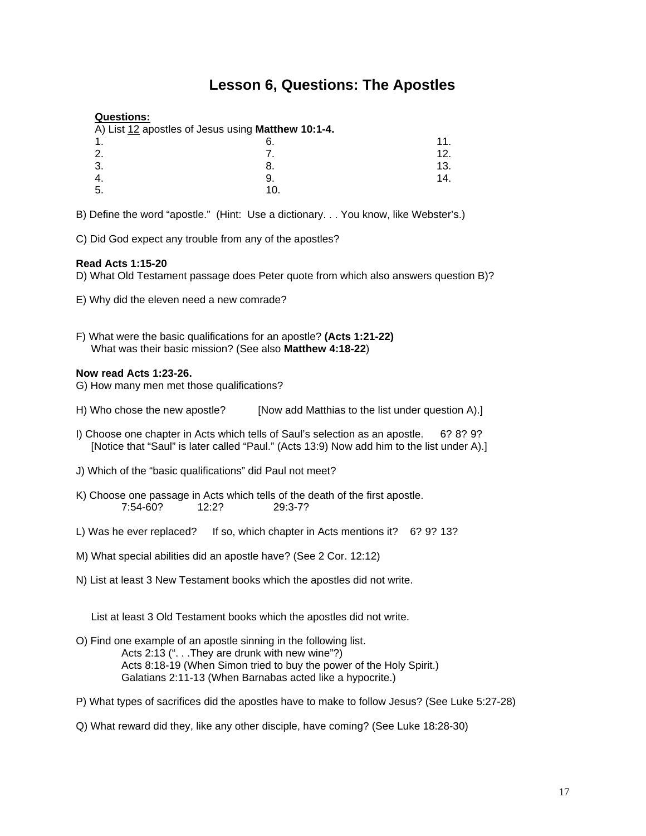# **Lesson 6, Questions: The Apostles**

#### **Questions:**

A) List 12 apostles of Jesus using **Matthew 10:1-4.**

| $\mathbf{1}$ . |                | 11. |
|----------------|----------------|-----|
| 2.             | ⇁<br>. .       | 12. |
| 3.             |                | 13. |
| 4.             | a<br>J.        | 14. |
| 5.             | 1 <sub>0</sub> |     |

B) Define the word "apostle." (Hint: Use a dictionary. . . You know, like Webster's.)

C) Did God expect any trouble from any of the apostles?

#### **Read Acts 1:15-20**

D) What Old Testament passage does Peter quote from which also answers question B)?

- E) Why did the eleven need a new comrade?
- F) What were the basic qualifications for an apostle? **(Acts 1:21-22)** What was their basic mission? (See also **Matthew 4:18-22**)

#### **Now read Acts 1:23-26.**

G) How many men met those qualifications?

- H) Who chose the new apostle? [Now add Matthias to the list under question A).]
- I) Choose one chapter in Acts which tells of Saul's selection as an apostle. 6? 8? 9? [Notice that "Saul" is later called "Paul." (Acts 13:9) Now add him to the list under A).]
- J) Which of the "basic qualifications" did Paul not meet?
- K) Choose one passage in Acts which tells of the death of the first apostle. 7:54-60? 12:2? 29:3-7?
- L) Was he ever replaced? If so, which chapter in Acts mentions it? 6? 9? 13?
- M) What special abilities did an apostle have? (See 2 Cor. 12:12)
- N) List at least 3 New Testament books which the apostles did not write.

List at least 3 Old Testament books which the apostles did not write.

- O) Find one example of an apostle sinning in the following list. Acts 2:13 (". . . They are drunk with new wine"?) Acts 8:18-19 (When Simon tried to buy the power of the Holy Spirit.) Galatians 2:11-13 (When Barnabas acted like a hypocrite.)
- P) What types of sacrifices did the apostles have to make to follow Jesus? (See Luke 5:27-28)
- Q) What reward did they, like any other disciple, have coming? (See Luke 18:28-30)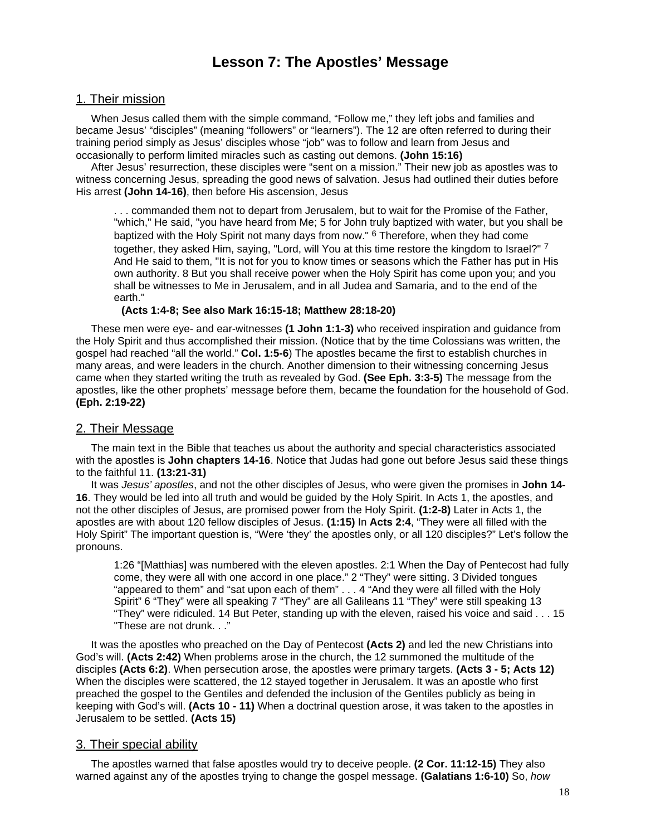# **Lesson 7: The Apostles' Message**

### <span id="page-18-0"></span>1. Their mission

 When Jesus called them with the simple command, "Follow me," they left jobs and families and became Jesus' "disciples" (meaning "followers" or "learners"). The 12 are often referred to during their training period simply as Jesus' disciples whose "job" was to follow and learn from Jesus and occasionally to perform limited miracles such as casting out demons. **(John 15:16)**

 After Jesus' resurrection, these disciples were "sent on a mission." Their new job as apostles was to witness concerning Jesus, spreading the good news of salvation. Jesus had outlined their duties before His arrest **(John 14-16)**, then before His ascension, Jesus

. . . commanded them not to depart from Jerusalem, but to wait for the Promise of the Father, "which," He said, "you have heard from Me; 5 for John truly baptized with water, but you shall be baptized with the Holy Spirit not many days from now." <sup>6</sup> Therefore, when they had come together, they asked Him, saying, "Lord, will You at this time restore the kingdom to Israel?" 7 And He said to them, "It is not for you to know times or seasons which the Father has put in His own authority. 8 But you shall receive power when the Holy Spirit has come upon you; and you shall be witnesses to Me in Jerusalem, and in all Judea and Samaria, and to the end of the earth."

#### **(Acts 1:4-8; See also Mark 16:15-18; Matthew 28:18-20)**

 These men were eye- and ear-witnesses **(1 John 1:1-3)** who received inspiration and guidance from the Holy Spirit and thus accomplished their mission. (Notice that by the time Colossians was written, the gospel had reached "all the world." **Col. 1:5-6**) The apostles became the first to establish churches in many areas, and were leaders in the church. Another dimension to their witnessing concerning Jesus came when they started writing the truth as revealed by God. **(See Eph. 3:3-5)** The message from the apostles, like the other prophets' message before them, became the foundation for the household of God. **(Eph. 2:19-22)**

#### 2. Their Message

 The main text in the Bible that teaches us about the authority and special characteristics associated with the apostles is **John chapters 14-16**. Notice that Judas had gone out before Jesus said these things to the faithful 11. **(13:21-31)**

 It was *Jesus' apostles*, and not the other disciples of Jesus, who were given the promises in **John 14- 16**. They would be led into all truth and would be guided by the Holy Spirit. In Acts 1, the apostles, and not the other disciples of Jesus, are promised power from the Holy Spirit. **(1:2-8)** Later in Acts 1, the apostles are with about 120 fellow disciples of Jesus. **(1:15)** In **Acts 2:4**, "They were all filled with the Holy Spirit" The important question is, "Were 'they' the apostles only, or all 120 disciples?" Let's follow the pronouns.

1:26 "[Matthias] was numbered with the eleven apostles. 2:1 When the Day of Pentecost had fully come, they were all with one accord in one place." 2 "They" were sitting. 3 Divided tongues "appeared to them" and "sat upon each of them" . . . 4 "And they were all filled with the Holy Spirit" 6 "They" were all speaking 7 "They" are all Galileans 11 "They" were still speaking 13 "They" were ridiculed. 14 But Peter, standing up with the eleven, raised his voice and said . . . 15 "These are not drunk. . ."

 It was the apostles who preached on the Day of Pentecost **(Acts 2)** and led the new Christians into God's will. **(Acts 2:42)** When problems arose in the church, the 12 summoned the multitude of the disciples **(Acts 6:2)**. When persecution arose, the apostles were primary targets. **(Acts 3 - 5; Acts 12)** When the disciples were scattered, the 12 stayed together in Jerusalem. It was an apostle who first preached the gospel to the Gentiles and defended the inclusion of the Gentiles publicly as being in keeping with God's will. **(Acts 10 - 11)** When a doctrinal question arose, it was taken to the apostles in Jerusalem to be settled. **(Acts 15)**

#### 3. Their special ability

 The apostles warned that false apostles would try to deceive people. **(2 Cor. 11:12-15)** They also warned against any of the apostles trying to change the gospel message. **(Galatians 1:6-10)** So, *how*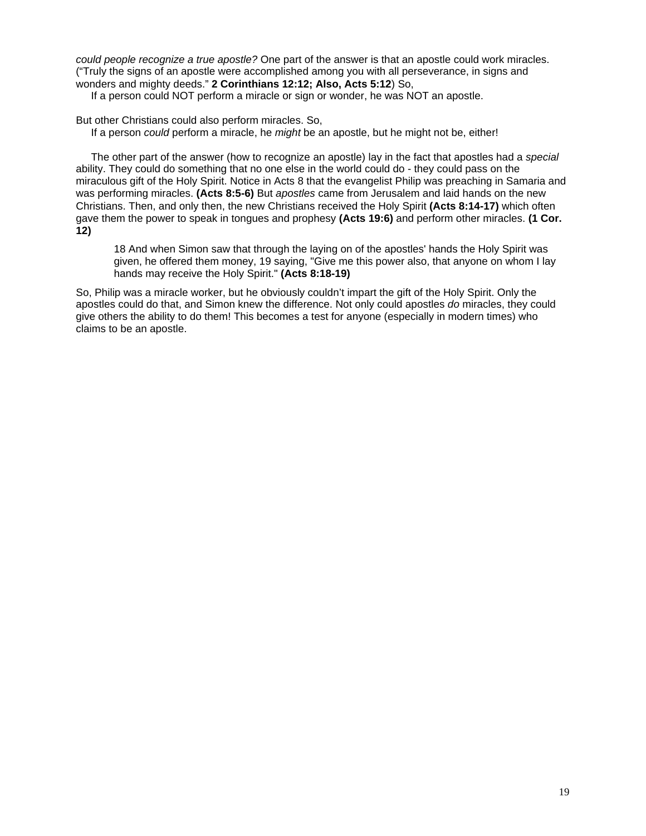*could people recognize a true apostle?* One part of the answer is that an apostle could work miracles. ("Truly the signs of an apostle were accomplished among you with all perseverance, in signs and wonders and mighty deeds." **2 Corinthians 12:12; Also, Acts 5:12**) So,

If a person could NOT perform a miracle or sign or wonder, he was NOT an apostle.

But other Christians could also perform miracles. So,

If a person *could* perform a miracle, he *might* be an apostle, but he might not be, either!

 The other part of the answer (how to recognize an apostle) lay in the fact that apostles had a *special* ability. They could do something that no one else in the world could do - they could pass on the miraculous gift of the Holy Spirit. Notice in Acts 8 that the evangelist Philip was preaching in Samaria and was performing miracles. **(Acts 8:5-6)** But *apostles* came from Jerusalem and laid hands on the new Christians. Then, and only then, the new Christians received the Holy Spirit **(Acts 8:14-17)** which often gave them the power to speak in tongues and prophesy **(Acts 19:6)** and perform other miracles. **(1 Cor. 12)** 

18 And when Simon saw that through the laying on of the apostles' hands the Holy Spirit was given, he offered them money, 19 saying, "Give me this power also, that anyone on whom I lay hands may receive the Holy Spirit." **(Acts 8:18-19)** 

So, Philip was a miracle worker, but he obviously couldn't impart the gift of the Holy Spirit. Only the apostles could do that, and Simon knew the difference. Not only could apostles *do* miracles, they could give others the ability to do them! This becomes a test for anyone (especially in modern times) who claims to be an apostle.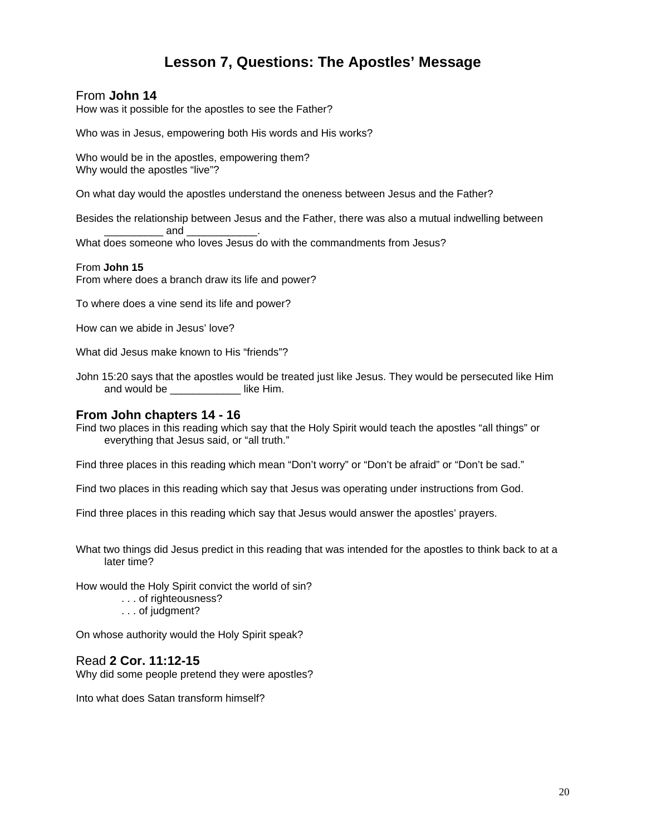# **Lesson 7, Questions: The Apostles' Message**

#### From **John 14**

How was it possible for the apostles to see the Father?

Who was in Jesus, empowering both His words and His works?

Who would be in the apostles, empowering them? Why would the apostles "live"?

On what day would the apostles understand the oneness between Jesus and the Father?

Besides the relationship between Jesus and the Father, there was also a mutual indwelling between and What does someone who loves Jesus do with the commandments from Jesus?

From **John 15** From where does a branch draw its life and power?

To where does a vine send its life and power?

How can we abide in Jesus' love?

What did Jesus make known to His "friends"?

John 15:20 says that the apostles would be treated just like Jesus. They would be persecuted like Him and would be **Like Him.** 

#### **From John chapters 14 - 16**

Find two places in this reading which say that the Holy Spirit would teach the apostles "all things" or everything that Jesus said, or "all truth."

Find three places in this reading which mean "Don't worry" or "Don't be afraid" or "Don't be sad."

Find two places in this reading which say that Jesus was operating under instructions from God.

Find three places in this reading which say that Jesus would answer the apostles' prayers.

What two things did Jesus predict in this reading that was intended for the apostles to think back to at a later time?

How would the Holy Spirit convict the world of sin? . . . of righteousness? . . . of judgment?

On whose authority would the Holy Spirit speak?

Read **2 Cor. 11:12-15**  Why did some people pretend they were apostles?

Into what does Satan transform himself?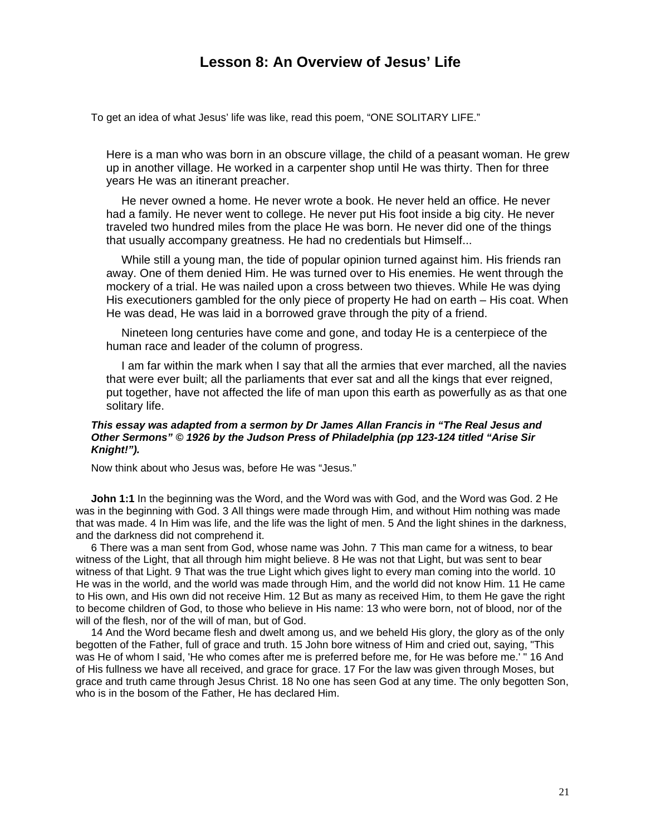### **Lesson 8: An Overview of Jesus' Life**

<span id="page-21-0"></span>To get an idea of what Jesus' life was like, read this poem, "ONE SOLITARY LIFE."

Here is a man who was born in an obscure village, the child of a peasant woman. He grew up in another village. He worked in a carpenter shop until He was thirty. Then for three years He was an itinerant preacher.

 He never owned a home. He never wrote a book. He never held an office. He never had a family. He never went to college. He never put His foot inside a big city. He never traveled two hundred miles from the place He was born. He never did one of the things that usually accompany greatness. He had no credentials but Himself...

 While still a young man, the tide of popular opinion turned against him. His friends ran away. One of them denied Him. He was turned over to His enemies. He went through the mockery of a trial. He was nailed upon a cross between two thieves. While He was dying His executioners gambled for the only piece of property He had on earth – His coat. When He was dead, He was laid in a borrowed grave through the pity of a friend.

 Nineteen long centuries have come and gone, and today He is a centerpiece of the human race and leader of the column of progress.

 I am far within the mark when I say that all the armies that ever marched, all the navies that were ever built; all the parliaments that ever sat and all the kings that ever reigned, put together, have not affected the life of man upon this earth as powerfully as as that one solitary life.

#### *This essay was adapted from a sermon by Dr James Allan Francis in "The Real Jesus and Other Sermons" © 1926 by the Judson Press of Philadelphia (pp 123-124 titled "Arise Sir Knight!").*

Now think about who Jesus was, before He was "Jesus."

**John 1:1** In the beginning was the Word, and the Word was with God, and the Word was God. 2 He was in the beginning with God. 3 All things were made through Him, and without Him nothing was made that was made. 4 In Him was life, and the life was the light of men. 5 And the light shines in the darkness, and the darkness did not comprehend it.

 6 There was a man sent from God, whose name was John. 7 This man came for a witness, to bear witness of the Light, that all through him might believe. 8 He was not that Light, but was sent to bear witness of that Light. 9 That was the true Light which gives light to every man coming into the world. 10 He was in the world, and the world was made through Him, and the world did not know Him. 11 He came to His own, and His own did not receive Him. 12 But as many as received Him, to them He gave the right to become children of God, to those who believe in His name: 13 who were born, not of blood, nor of the will of the flesh, nor of the will of man, but of God.

 14 And the Word became flesh and dwelt among us, and we beheld His glory, the glory as of the only begotten of the Father, full of grace and truth. 15 John bore witness of Him and cried out, saying, "This was He of whom I said, 'He who comes after me is preferred before me, for He was before me.' " 16 And of His fullness we have all received, and grace for grace. 17 For the law was given through Moses, but grace and truth came through Jesus Christ. 18 No one has seen God at any time. The only begotten Son, who is in the bosom of the Father, He has declared Him.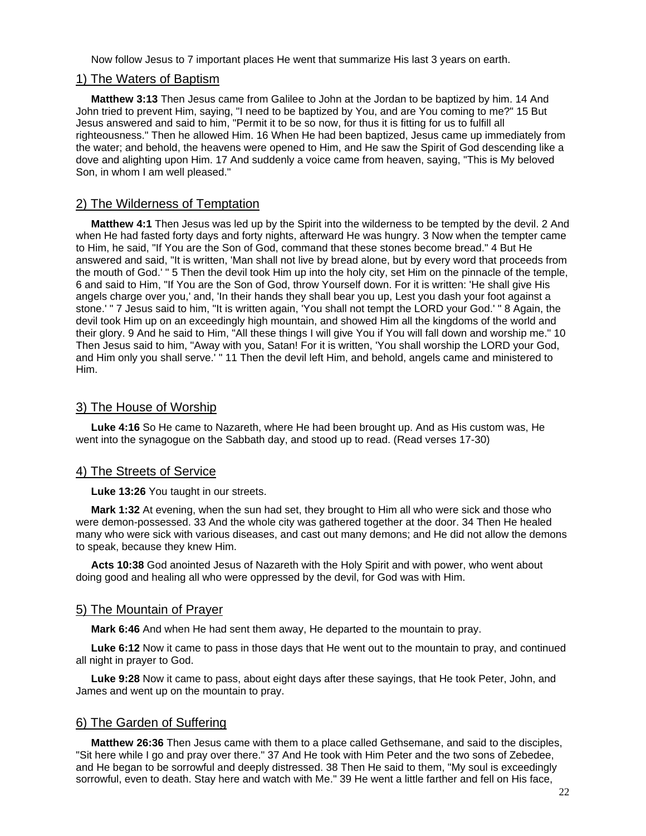Now follow Jesus to 7 important places He went that summarize His last 3 years on earth.

#### 1) The Waters of Baptism

**Matthew 3:13** Then Jesus came from Galilee to John at the Jordan to be baptized by him. 14 And John tried to prevent Him, saying, "I need to be baptized by You, and are You coming to me?" 15 But Jesus answered and said to him, "Permit it to be so now, for thus it is fitting for us to fulfill all righteousness." Then he allowed Him. 16 When He had been baptized, Jesus came up immediately from the water; and behold, the heavens were opened to Him, and He saw the Spirit of God descending like a dove and alighting upon Him. 17 And suddenly a voice came from heaven, saying, "This is My beloved Son, in whom I am well pleased."

#### 2) The Wilderness of Temptation

**Matthew 4:1** Then Jesus was led up by the Spirit into the wilderness to be tempted by the devil. 2 And when He had fasted forty days and forty nights, afterward He was hungry. 3 Now when the tempter came to Him, he said, "If You are the Son of God, command that these stones become bread." 4 But He answered and said, "It is written, 'Man shall not live by bread alone, but by every word that proceeds from the mouth of God.' " 5 Then the devil took Him up into the holy city, set Him on the pinnacle of the temple, 6 and said to Him, "If You are the Son of God, throw Yourself down. For it is written: 'He shall give His angels charge over you,' and, 'In their hands they shall bear you up, Lest you dash your foot against a stone.' " 7 Jesus said to him, "It is written again, 'You shall not tempt the LORD your God.' " 8 Again, the devil took Him up on an exceedingly high mountain, and showed Him all the kingdoms of the world and their glory. 9 And he said to Him, "All these things I will give You if You will fall down and worship me." 10 Then Jesus said to him, "Away with you, Satan! For it is written, 'You shall worship the LORD your God, and Him only you shall serve.' " 11 Then the devil left Him, and behold, angels came and ministered to Him.

#### 3) The House of Worship

**Luke 4:16** So He came to Nazareth, where He had been brought up. And as His custom was, He went into the synagogue on the Sabbath day, and stood up to read. (Read verses 17-30)

#### 4) The Streets of Service

**Luke 13:26** You taught in our streets.

**Mark 1:32** At evening, when the sun had set, they brought to Him all who were sick and those who were demon-possessed. 33 And the whole city was gathered together at the door. 34 Then He healed many who were sick with various diseases, and cast out many demons; and He did not allow the demons to speak, because they knew Him.

**Acts 10:38** God anointed Jesus of Nazareth with the Holy Spirit and with power, who went about doing good and healing all who were oppressed by the devil, for God was with Him.

#### 5) The Mountain of Prayer

**Mark 6:46** And when He had sent them away, He departed to the mountain to pray.

**Luke 6:12** Now it came to pass in those days that He went out to the mountain to pray, and continued all night in prayer to God.

**Luke 9:28** Now it came to pass, about eight days after these sayings, that He took Peter, John, and James and went up on the mountain to pray.

#### 6) The Garden of Suffering

**Matthew 26:36** Then Jesus came with them to a place called Gethsemane, and said to the disciples, "Sit here while I go and pray over there." 37 And He took with Him Peter and the two sons of Zebedee, and He began to be sorrowful and deeply distressed. 38 Then He said to them, "My soul is exceedingly sorrowful, even to death. Stay here and watch with Me." 39 He went a little farther and fell on His face,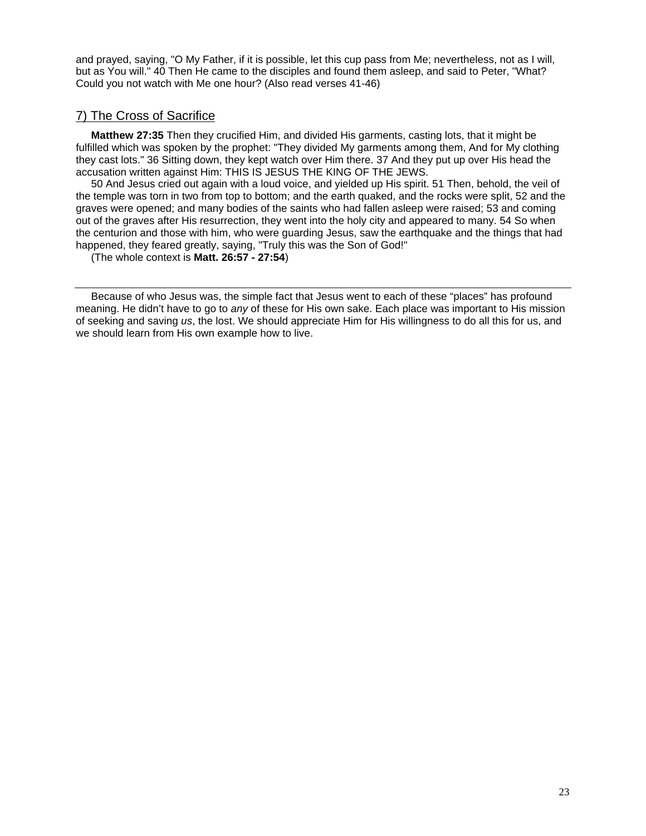and prayed, saying, "O My Father, if it is possible, let this cup pass from Me; nevertheless, not as I will, but as You will." 40 Then He came to the disciples and found them asleep, and said to Peter, "What? Could you not watch with Me one hour? (Also read verses 41-46)

#### 7) The Cross of Sacrifice

**Matthew 27:35** Then they crucified Him, and divided His garments, casting lots, that it might be fulfilled which was spoken by the prophet: "They divided My garments among them, And for My clothing they cast lots." 36 Sitting down, they kept watch over Him there. 37 And they put up over His head the accusation written against Him: THIS IS JESUS THE KING OF THE JEWS.

 50 And Jesus cried out again with a loud voice, and yielded up His spirit. 51 Then, behold, the veil of the temple was torn in two from top to bottom; and the earth quaked, and the rocks were split, 52 and the graves were opened; and many bodies of the saints who had fallen asleep were raised; 53 and coming out of the graves after His resurrection, they went into the holy city and appeared to many. 54 So when the centurion and those with him, who were guarding Jesus, saw the earthquake and the things that had happened, they feared greatly, saying, "Truly this was the Son of God!"

(The whole context is **Matt. 26:57 - 27:54**)

 Because of who Jesus was, the simple fact that Jesus went to each of these "places" has profound meaning. He didn't have to go to *any* of these for His own sake. Each place was important to His mission of seeking and saving *us*, the lost. We should appreciate Him for His willingness to do all this for us, and we should learn from His own example how to live.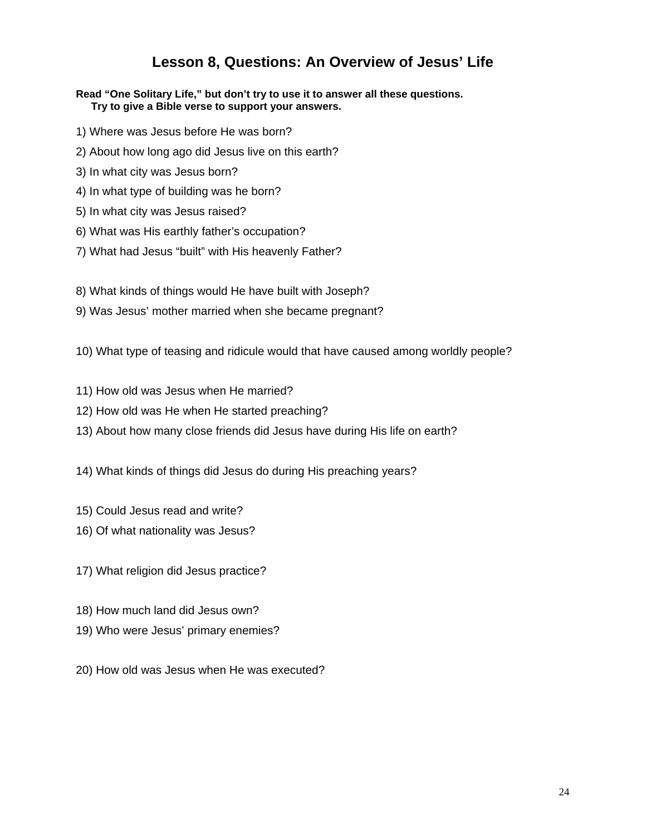# **Lesson 8, Questions: An Overview of Jesus' Life**

#### **Read "One Solitary Life," but don't try to use it to answer all these questions. Try to give a Bible verse to support your answers.**

- 1) Where was Jesus before He was born?
- 2) About how long ago did Jesus live on this earth?
- 3) In what city was Jesus born?
- 4) In what type of building was he born?
- 5) In what city was Jesus raised?
- 6) What was His earthly father's occupation?
- 7) What had Jesus "built" with His heavenly Father?
- 8) What kinds of things would He have built with Joseph?
- 9) Was Jesus' mother married when she became pregnant?
- 10) What type of teasing and ridicule would that have caused among worldly people?
- 11) How old was Jesus when He married?
- 12) How old was He when He started preaching?
- 13) About how many close friends did Jesus have during His life on earth?
- 14) What kinds of things did Jesus do during His preaching years?
- 15) Could Jesus read and write?
- 16) Of what nationality was Jesus?
- 17) What religion did Jesus practice?
- 18) How much land did Jesus own?
- 19) Who were Jesus' primary enemies?
- 20) How old was Jesus when He was executed?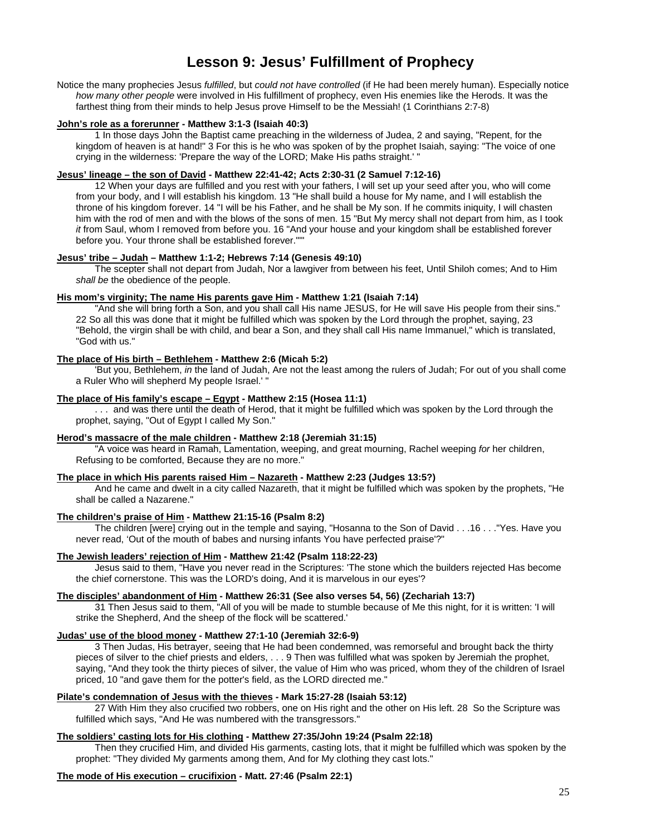# **Lesson 9: Jesus' Fulfillment of Prophecy**

<span id="page-25-0"></span>Notice the many prophecies Jesus *fulfilled*, but *could not have controlled* (if He had been merely human). Especially notice *how many other people* were involved in His fulfillment of prophecy, even His enemies like the Herods. It was the farthest thing from their minds to help Jesus prove Himself to be the Messiah! (1 Corinthians 2:7-8)

#### **John's role as a forerunner - Matthew 3:1-3 (Isaiah 40:3)**

 1 In those days John the Baptist came preaching in the wilderness of Judea, 2 and saying, "Repent, for the kingdom of heaven is at hand!" 3 For this is he who was spoken of by the prophet Isaiah, saying: "The voice of one crying in the wilderness: 'Prepare the way of the LORD; Make His paths straight.' "

#### **Jesus' lineage – the son of David - Matthew 22:41-42; Acts 2:30-31 (2 Samuel 7:12-16)**

 12 When your days are fulfilled and you rest with your fathers, I will set up your seed after you, who will come from your body, and I will establish his kingdom. 13 "He shall build a house for My name, and I will establish the throne of his kingdom forever. 14 "I will be his Father, and he shall be My son. If he commits iniquity, I will chasten him with the rod of men and with the blows of the sons of men. 15 "But My mercy shall not depart from him, as I took *it* from Saul, whom I removed from before you. 16 "And your house and your kingdom shall be established forever before you. Your throne shall be established forever."'"

#### **Jesus' tribe – Judah – Matthew 1:1-2; Hebrews 7:14 (Genesis 49:10)**

 The scepter shall not depart from Judah, Nor a lawgiver from between his feet, Until Shiloh comes; And to Him *shall be* the obedience of the people.

#### **His mom's virginity; The name His parents gave Him - Matthew 1**:**21 (Isaiah 7:14)**

 "And she will bring forth a Son, and you shall call His name JESUS, for He will save His people from their sins." 22 So all this was done that it might be fulfilled which was spoken by the Lord through the prophet, saying, 23 "Behold, the virgin shall be with child, and bear a Son, and they shall call His name Immanuel," which is translated, "God with us."

#### **The place of His birth – Bethlehem - Matthew 2:6 (Micah 5:2)**

 'But you, Bethlehem, *in* the land of Judah, Are not the least among the rulers of Judah; For out of you shall come a Ruler Who will shepherd My people Israel.' "

#### **The place of His family's escape – Egypt - Matthew 2:15 (Hosea 11:1)**

.. and was there until the death of Herod, that it might be fulfilled which was spoken by the Lord through the prophet, saying, "Out of Egypt I called My Son."

#### **Herod's massacre of the male children - Matthew 2:18 (Jeremiah 31:15)**

 "A voice was heard in Ramah, Lamentation, weeping, and great mourning, Rachel weeping *for* her children, Refusing to be comforted, Because they are no more."

#### **The place in which His parents raised Him – Nazareth - Matthew 2:23 (Judges 13:5?)**

 And he came and dwelt in a city called Nazareth, that it might be fulfilled which was spoken by the prophets, "He shall be called a Nazarene."

#### **The children's praise of Him - Matthew 21:15-16 (Psalm 8:2)**

 The children [were] crying out in the temple and saying, "Hosanna to the Son of David . . .16 . . ."Yes. Have you never read, 'Out of the mouth of babes and nursing infants You have perfected praise'?"

#### **The Jewish leaders' rejection of Him - Matthew 21:42 (Psalm 118:22-23)**

 Jesus said to them, "Have you never read in the Scriptures: 'The stone which the builders rejected Has become the chief cornerstone. This was the LORD's doing, And it is marvelous in our eyes'?

#### **The disciples' abandonment of Him - Matthew 26:31 (See also verses 54, 56) (Zechariah 13:7)**

 31 Then Jesus said to them, "All of you will be made to stumble because of Me this night, for it is written: 'I will strike the Shepherd, And the sheep of the flock will be scattered.'

#### **Judas' use of the blood money - Matthew 27:1-10 (Jeremiah 32:6-9)**

 3 Then Judas, His betrayer, seeing that He had been condemned, was remorseful and brought back the thirty pieces of silver to the chief priests and elders, . . . 9 Then was fulfilled what was spoken by Jeremiah the prophet, saying, "And they took the thirty pieces of silver, the value of Him who was priced, whom they of the children of Israel priced, 10 "and gave them for the potter's field, as the LORD directed me."

#### **Pilate's condemnation of Jesus with the thieves - Mark 15:27-28 (Isaiah 53:12)**

 27 With Him they also crucified two robbers, one on His right and the other on His left. 28 So the Scripture was fulfilled which says, "And He was numbered with the transgressors."

#### **The soldiers' casting lots for His clothing - Matthew 27:35/John 19:24 (Psalm 22:18)**

 Then they crucified Him, and divided His garments, casting lots, that it might be fulfilled which was spoken by the prophet: "They divided My garments among them, And for My clothing they cast lots."

**The mode of His execution – crucifixion - Matt. 27:46 (Psalm 22:1)**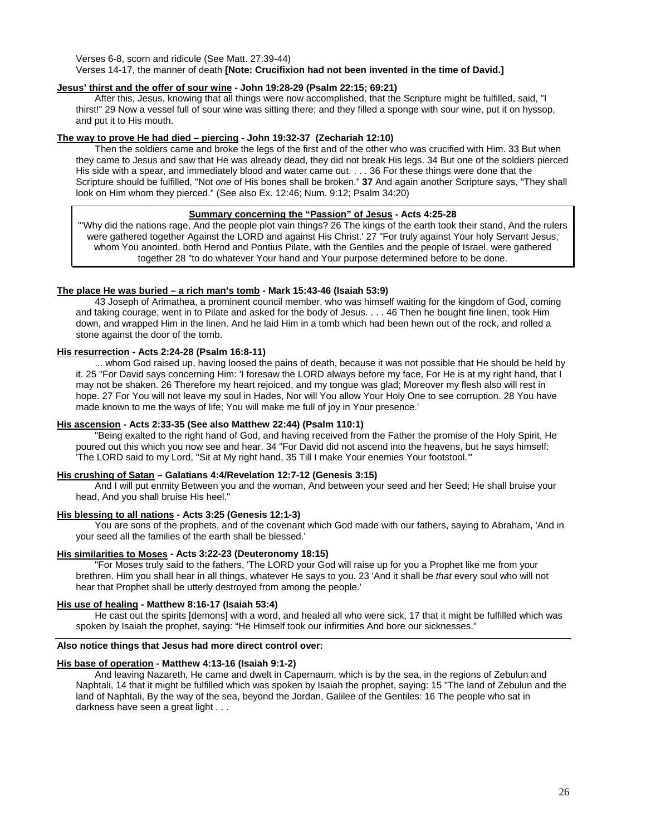Verses 6-8, scorn and ridicule (See Matt. 27:39-44)

Verses 14-17, the manner of death **[Note: Crucifixion had not been invented in the time of David.]** 

#### **Jesus' thirst and the offer of sour wine - John 19:28-29 (Psalm 22:15; 69:21)**

 After this, Jesus, knowing that all things were now accomplished, that the Scripture might be fulfilled, said, "I thirst!" 29 Now a vessel full of sour wine was sitting there; and they filled a sponge with sour wine, put it on hyssop, and put it to His mouth.

#### **The way to prove He had died – piercing - John 19:32-37 (Zechariah 12:10)**

 Then the soldiers came and broke the legs of the first and of the other who was crucified with Him. 33 But when they came to Jesus and saw that He was already dead, they did not break His legs. 34 But one of the soldiers pierced His side with a spear, and immediately blood and water came out. . . . 36 For these things were done that the Scripture should be fulfilled, "Not *one* of His bones shall be broken." **37** And again another Scripture says, "They shall look on Him whom they pierced." (See also Ex. 12:46; Num. 9:12; Psalm 34:20)

#### **Summary concerning the "Passion" of Jesus - Acts 4:25-28**

"'Why did the nations rage, And the people plot vain things? 26 The kings of the earth took their stand, And the rulers were gathered together Against the LORD and against His Christ.' 27 "For truly against Your holy Servant Jesus, whom You anointed, both Herod and Pontius Pilate, with the Gentiles and the people of Israel, were gathered together 28 "to do whatever Your hand and Your purpose determined before to be done.

#### **The place He was buried – a rich man's tomb - Mark 15:43-46 (Isaiah 53:9)**

 43 Joseph of Arimathea, a prominent council member, who was himself waiting for the kingdom of God, coming and taking courage, went in to Pilate and asked for the body of Jesus. . . . 46 Then he bought fine linen, took Him down, and wrapped Him in the linen. And he laid Him in a tomb which had been hewn out of the rock, and rolled a stone against the door of the tomb.

#### **His resurrection - Acts 2:24-28 (Psalm 16:8-11)**

 ... whom God raised up, having loosed the pains of death, because it was not possible that He should be held by it. 25 "For David says concerning Him: 'I foresaw the LORD always before my face, For He is at my right hand, that I may not be shaken. 26 Therefore my heart rejoiced, and my tongue was glad; Moreover my flesh also will rest in hope. 27 For You will not leave my soul in Hades, Nor will You allow Your Holy One to see corruption. 28 You have made known to me the ways of life; You will make me full of joy in Your presence.'

#### **His ascension - Acts 2:33-35 (See also Matthew 22:44) (Psalm 110:1)**

 "Being exalted to the right hand of God, and having received from the Father the promise of the Holy Spirit, He poured out this which you now see and hear. 34 "For David did not ascend into the heavens, but he savs himself: 'The LORD said to my Lord, "Sit at My right hand, 35 Till I make Your enemies Your footstool."'

#### **His crushing of Satan – Galatians 4:4/Revelation 12:7-12 (Genesis 3:15)**

 And I will put enmity Between you and the woman, And between your seed and her Seed; He shall bruise your head, And you shall bruise His heel."

#### **His blessing to all nations - Acts 3:25 (Genesis 12:1-3)**

 You are sons of the prophets, and of the covenant which God made with our fathers, saying to Abraham, 'And in your seed all the families of the earth shall be blessed.'

#### **His similarities to Moses - Acts 3:22-23 (Deuteronomy 18:15)**

 "For Moses truly said to the fathers, 'The LORD your God will raise up for you a Prophet like me from your brethren. Him you shall hear in all things, whatever He says to you. 23 'And it shall be *that* every soul who will not hear that Prophet shall be utterly destroyed from among the people.'

#### **His use of healing - Matthew 8:16-17 (Isaiah 53:4)**

 He cast out the spirits [demons] with a word, and healed all who were sick, 17 that it might be fulfilled which was spoken by Isaiah the prophet, saying: "He Himself took our infirmities And bore our sicknesses."

#### **Also notice things that Jesus had more direct control over:**

#### **His base of operation - Matthew 4:13-16 (Isaiah 9:1-2)**

 And leaving Nazareth, He came and dwelt in Capernaum, which is by the sea, in the regions of Zebulun and Naphtali, 14 that it might be fulfilled which was spoken by Isaiah the prophet, saying: 15 "The land of Zebulun and the land of Naphtali, By the way of the sea, beyond the Jordan, Galilee of the Gentiles: 16 The people who sat in darkness have seen a great light . . .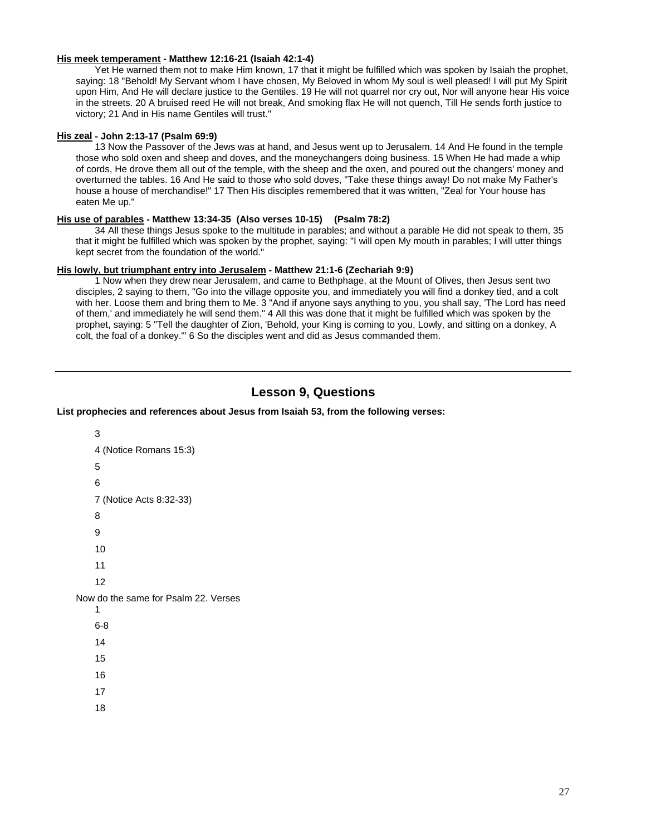#### **His meek temperament - Matthew 12:16-21 (Isaiah 42:1-4)**

 Yet He warned them not to make Him known, 17 that it might be fulfilled which was spoken by Isaiah the prophet, saying: 18 "Behold! My Servant whom I have chosen, My Beloved in whom My soul is well pleased! I will put My Spirit upon Him, And He will declare justice to the Gentiles. 19 He will not quarrel nor cry out, Nor will anyone hear His voice in the streets. 20 A bruised reed He will not break, And smoking flax He will not quench, Till He sends forth justice to victory; 21 And in His name Gentiles will trust."

#### **His zeal - John 2:13-17 (Psalm 69:9)**

 13 Now the Passover of the Jews was at hand, and Jesus went up to Jerusalem. 14 And He found in the temple those who sold oxen and sheep and doves, and the moneychangers doing business. 15 When He had made a whip of cords, He drove them all out of the temple, with the sheep and the oxen, and poured out the changers' money and overturned the tables. 16 And He said to those who sold doves, "Take these things away! Do not make My Father's house a house of merchandise!" 17 Then His disciples remembered that it was written, "Zeal for Your house has eaten Me up."

#### **His use of parables - Matthew 13:34-35 (Also verses 10-15) (Psalm 78:2)**

 34 All these things Jesus spoke to the multitude in parables; and without a parable He did not speak to them, 35 that it might be fulfilled which was spoken by the prophet, saying: "I will open My mouth in parables; I will utter things kept secret from the foundation of the world."

#### **His lowly, but triumphant entry into Jerusalem - Matthew 21:1-6 (Zechariah 9:9 )**

 1 Now when they drew near Jerusalem, and came to Bethphage, at the Mount of Olives, then Jesus sent two disciples, 2 saying to them, "Go into the village opposite you, and immediately you will find a donkey tied, and a colt with her. Loose them and bring them to Me. 3 "And if anyone says anything to you, you shall say, 'The Lord has need of them,' and immediately he will send them." 4 All this was done that it might be fulfilled which was spoken by the prophet, saying: 5 "Tell the daughter of Zion, 'Behold, your King is coming to you, Lowly, and sitting on a donkey, A colt, the foal of a donkey.'" 6 So the disciples went and did as Jesus commanded them.

#### **Lesson 9, Questions**

#### **List prophecies and references about Jesus from Isaiah 53, from the following verses:**

```
 3 
      4 (Notice Romans 15:3) 
      5 
      6 
      7 (Notice Acts 8:32-33) 
      8 
      9 
      10 
      11 
      12 
Now do the same for Psalm 22. Verses 
      1 
      6-8 
      14 
      15 
      16 
      17 
      18
```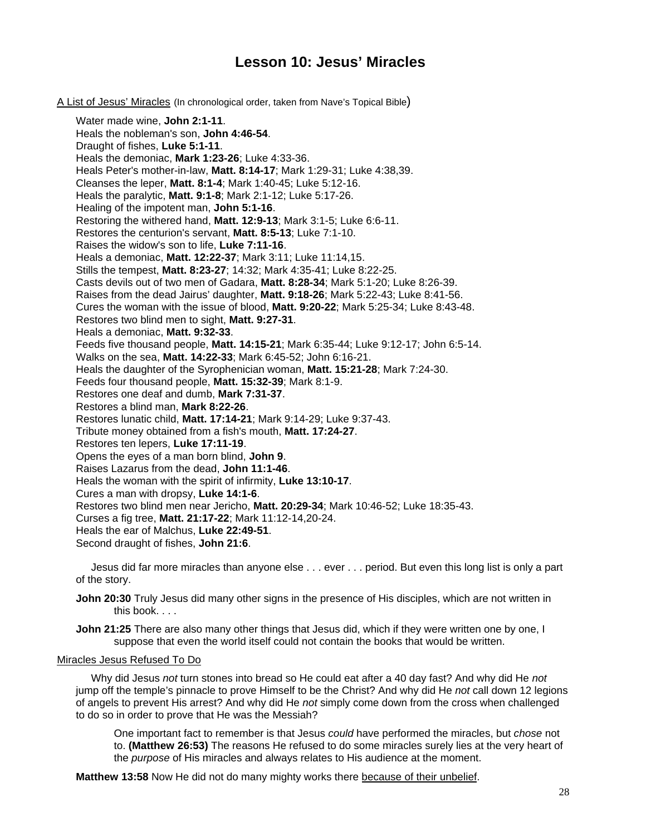# **Lesson 10: Jesus' Miracles**

<span id="page-28-0"></span>A List of Jesus' Miracles (In chronological order, taken from Nave's Topical Bible)

Water made wine, **John 2:1-11**. Heals the nobleman's son, **John 4:46-54**. Draught of fishes, **Luke 5:1-11**. Heals the demoniac, **Mark 1:23-26**; Luke 4:33-36. Heals Peter's mother-in-law, **Matt. 8:14-17**; Mark 1:29-31; Luke 4:38,39. Cleanses the leper, **Matt. 8:1-4**; Mark 1:40-45; Luke 5:12-16. Heals the paralytic, **Matt. 9:1-8**; Mark 2:1-12; Luke 5:17-26. Healing of the impotent man, **John 5:1-16**. Restoring the withered hand, **Matt. 12:9-13**; Mark 3:1-5; Luke 6:6-11. Restores the centurion's servant, **Matt. 8:5-13**; Luke 7:1-10. Raises the widow's son to life, **Luke 7:11-16**. Heals a demoniac, **Matt. 12:22-37**; Mark 3:11; Luke 11:14,15. Stills the tempest, **Matt. 8:23-27**; 14:32; Mark 4:35-41; Luke 8:22-25. Casts devils out of two men of Gadara, **Matt. 8:28-34**; Mark 5:1-20; Luke 8:26-39. Raises from the dead Jairus' daughter, **Matt. 9:18-26**; Mark 5:22-43; Luke 8:41-56. Cures the woman with the issue of blood, **Matt. 9:20-22**; Mark 5:25-34; Luke 8:43-48. Restores two blind men to sight, **Matt. 9:27-31**. Heals a demoniac, **Matt. 9:32-33**. Feeds five thousand people, **Matt. 14:15-21**; Mark 6:35-44; Luke 9:12-17; John 6:5-14. Walks on the sea, **Matt. 14:22-33**; Mark 6:45-52; John 6:16-21. Heals the daughter of the Syrophenician woman, **Matt. 15:21-28**; Mark 7:24-30. Feeds four thousand people, **Matt. 15:32-39**; Mark 8:1-9. Restores one deaf and dumb, **Mark 7:31-37**. Restores a blind man, **Mark 8:22-26**. Restores lunatic child, **Matt. 17:14-21**; Mark 9:14-29; Luke 9:37-43. Tribute money obtained from a fish's mouth, **Matt. 17:24-27**. Restores ten lepers, **Luke 17:11-19**. Opens the eyes of a man born blind, **John 9**. Raises Lazarus from the dead, **John 11:1-46**. Heals the woman with the spirit of infirmity, **Luke 13:10-17**. Cures a man with dropsy, **Luke 14:1-6**. Restores two blind men near Jericho, **Matt. 20:29-34**; Mark 10:46-52; Luke 18:35-43. Curses a fig tree, **Matt. 21:17-22**; Mark 11:12-14,20-24. Heals the ear of Malchus, **Luke 22:49-51**. Second draught of fishes, **John 21:6**.

 Jesus did far more miracles than anyone else . . . ever . . . period. But even this long list is only a part of the story.

**John 20:30** Truly Jesus did many other signs in the presence of His disciples, which are not written in this book. . . .

**John 21:25** There are also many other things that Jesus did, which if they were written one by one, I suppose that even the world itself could not contain the books that would be written.

#### Miracles Jesus Refused To Do

 Why did Jesus *not* turn stones into bread so He could eat after a 40 day fast? And why did He *not* jump off the temple's pinnacle to prove Himself to be the Christ? And why did He *not* call down 12 legions of angels to prevent His arrest? And why did He *not* simply come down from the cross when challenged to do so in order to prove that He was the Messiah?

 One important fact to remember is that Jesus *could* have performed the miracles, but *chose* not to. **(Matthew 26:53)** The reasons He refused to do some miracles surely lies at the very heart of the *purpose* of His miracles and always relates to His audience at the moment.

**Matthew 13:58** Now He did not do many mighty works there because of their unbelief.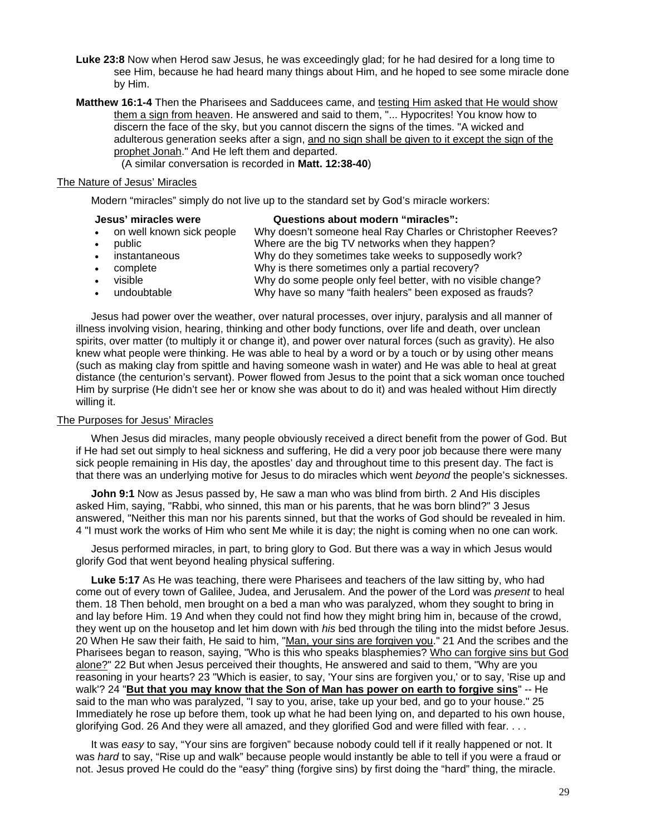- **Luke 23:8** Now when Herod saw Jesus, he was exceedingly glad; for he had desired for a long time to see Him, because he had heard many things about Him, and he hoped to see some miracle done by Him.
- **Matthew 16:1-4** Then the Pharisees and Sadducees came, and testing Him asked that He would show them a sign from heaven. He answered and said to them, "... Hypocrites! You know how to discern the face of the sky, but you cannot discern the signs of the times. "A wicked and adulterous generation seeks after a sign, and no sign shall be given to it except the sign of the prophet Jonah." And He left them and departed.

(A similar conversation is recorded in **Matt. 12:38-40**)

#### The Nature of Jesus' Miracles

Modern "miracles" simply do not live up to the standard set by God's miracle workers:

#### **Jesus' miracles were**

#### **Questions about modern "miracles":**

- on well known sick people Why doesn't someone heal Ray Charles or Christopher Reeves?
- public Where are the big TV networks when they happen? Why do they sometimes take weeks to supposedly work?
- instantaneous
- complete
- visible
- Why is there sometimes only a partial recovery? Why do some people only feel better, with no visible change?
- undoubtable Why have so many "faith healers" been exposed as frauds?

 Jesus had power over the weather, over natural processes, over injury, paralysis and all manner of illness involving vision, hearing, thinking and other body functions, over life and death, over unclean spirits, over matter (to multiply it or change it), and power over natural forces (such as gravity). He also knew what people were thinking. He was able to heal by a word or by a touch or by using other means (such as making clay from spittle and having someone wash in water) and He was able to heal at great distance (the centurion's servant). Power flowed from Jesus to the point that a sick woman once touched Him by surprise (He didn't see her or know she was about to do it) and was healed without Him directly willing it.

#### The Purposes for Jesus' Miracles

 When Jesus did miracles, many people obviously received a direct benefit from the power of God. But if He had set out simply to heal sickness and suffering, He did a very poor job because there were many sick people remaining in His day, the apostles' day and throughout time to this present day. The fact is that there was an underlying motive for Jesus to do miracles which went *beyond* the people's sicknesses.

**John 9:1** Now as Jesus passed by, He saw a man who was blind from birth. 2 And His disciples asked Him, saying, "Rabbi, who sinned, this man or his parents, that he was born blind?" 3 Jesus answered, "Neither this man nor his parents sinned, but that the works of God should be revealed in him. 4 "I must work the works of Him who sent Me while it is day; the night is coming when no one can work.

 Jesus performed miracles, in part, to bring glory to God. But there was a way in which Jesus would glorify God that went beyond healing physical suffering.

**Luke 5:17** As He was teaching, there were Pharisees and teachers of the law sitting by, who had come out of every town of Galilee, Judea, and Jerusalem. And the power of the Lord was *present* to heal them. 18 Then behold, men brought on a bed a man who was paralyzed, whom they sought to bring in and lay before Him. 19 And when they could not find how they might bring him in, because of the crowd, they went up on the housetop and let him down with *his* bed through the tiling into the midst before Jesus. 20 When He saw their faith, He said to him, "Man, your sins are forgiven you." 21 And the scribes and the Pharisees began to reason, saying, "Who is this who speaks blasphemies? Who can forgive sins but God alone?" 22 But when Jesus perceived their thoughts, He answered and said to them, "Why are you reasoning in your hearts? 23 "Which is easier, to say, 'Your sins are forgiven you,' or to say, 'Rise up and walk'? 24 "**But that you may know that the Son of Man has power on earth to forgive sins**" -- He said to the man who was paralyzed, "I say to you, arise, take up your bed, and go to your house." 25 Immediately he rose up before them, took up what he had been lying on, and departed to his own house, glorifying God. 26 And they were all amazed, and they glorified God and were filled with fear. . . .

 It was *easy* to say, "Your sins are forgiven" because nobody could tell if it really happened or not. It was *hard* to say, "Rise up and walk" because people would instantly be able to tell if you were a fraud or not. Jesus proved He could do the "easy" thing (forgive sins) by first doing the "hard" thing, the miracle.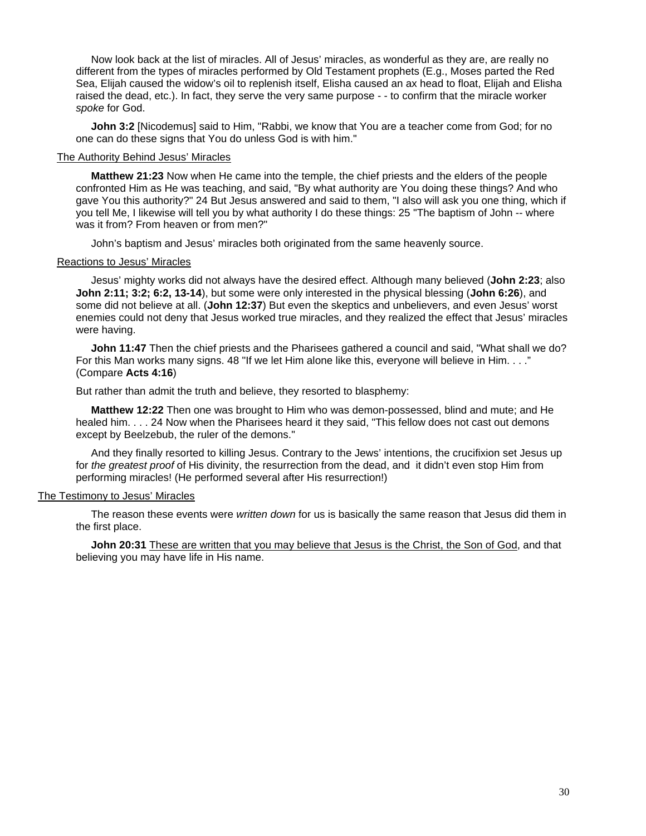Now look back at the list of miracles. All of Jesus' miracles, as wonderful as they are, are really no different from the types of miracles performed by Old Testament prophets (E.g., Moses parted the Red Sea, Elijah caused the widow's oil to replenish itself, Elisha caused an ax head to float, Elijah and Elisha raised the dead, etc.). In fact, they serve the very same purpose - - to confirm that the miracle worker *spoke* for God.

**John 3:2** [Nicodemus] said to Him, "Rabbi, we know that You are a teacher come from God; for no one can do these signs that You do unless God is with him."

#### The Authority Behind Jesus' Miracles

**Matthew 21:23** Now when He came into the temple, the chief priests and the elders of the people confronted Him as He was teaching, and said, "By what authority are You doing these things? And who gave You this authority?" 24 But Jesus answered and said to them, "I also will ask you one thing, which if you tell Me, I likewise will tell you by what authority I do these things: 25 "The baptism of John -- where was it from? From heaven or from men?"

John's baptism and Jesus' miracles both originated from the same heavenly source.

#### Reactions to Jesus' Miracles

 Jesus' mighty works did not always have the desired effect. Although many believed (**John 2:23**; also **John 2:11; 3:2; 6:2, 13-14**), but some were only interested in the physical blessing (**John 6:26**), and some did not believe at all. (**John 12:37**) But even the skeptics and unbelievers, and even Jesus' worst enemies could not deny that Jesus worked true miracles, and they realized the effect that Jesus' miracles were having.

**John 11:47** Then the chief priests and the Pharisees gathered a council and said, "What shall we do? For this Man works many signs. 48 "If we let Him alone like this, everyone will believe in Him. . . ." (Compare **Acts 4:16**)

But rather than admit the truth and believe, they resorted to blasphemy:

**Matthew 12:22** Then one was brought to Him who was demon-possessed, blind and mute; and He healed him. . . . 24 Now when the Pharisees heard it they said, "This fellow does not cast out demons except by Beelzebub, the ruler of the demons."

 And they finally resorted to killing Jesus. Contrary to the Jews' intentions, the crucifixion set Jesus up for *the greatest proof* of His divinity, the resurrection from the dead, and it didn't even stop Him from performing miracles! (He performed several after His resurrection!)

#### The Testimony to Jesus' Miracles

 The reason these events were *written down* for us is basically the same reason that Jesus did them in the first place.

 **John 20:31** These are written that you may believe that Jesus is the Christ, the Son of God, and that believing you may have life in His name.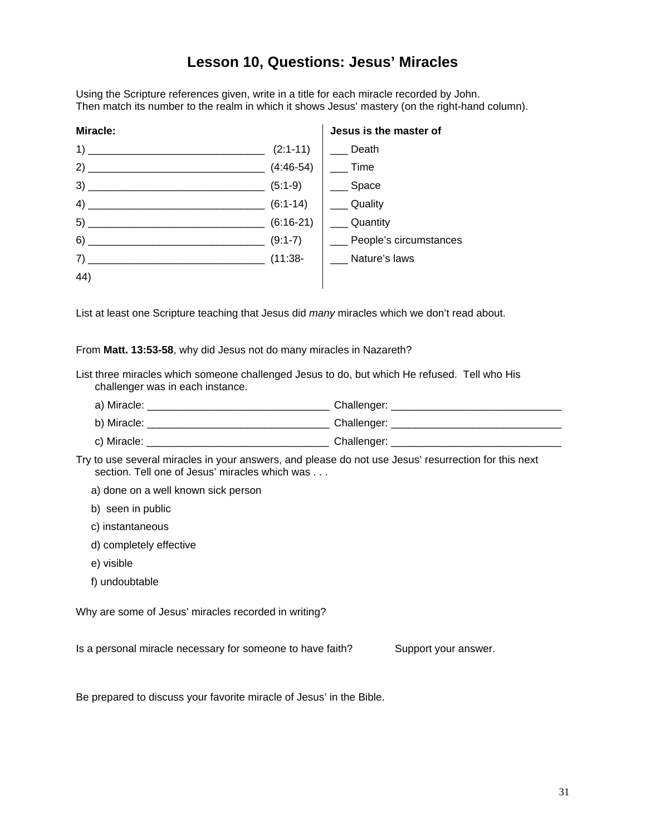# **Lesson 10, Questions: Jesus' Miracles**

Using the Scripture references given, write in a title for each miracle recorded by John. Then match its number to the realm in which it shows Jesus' mastery (on the right-hand column).



List at least one Scripture teaching that Jesus did *many* miracles which we don't read about.

From **Matt. 13:53-58**, why did Jesus not do many miracles in Nazareth?

List three miracles which someone challenged Jesus to do, but which He refused. Tell who His challenger was in each instance.

| a) Miracle: | Challenger: |
|-------------|-------------|
| b) Miracle: | Challenger: |
| c) Miracle: | Challenger: |

Try to use several miracles in your answers, and please do not use Jesus' resurrection for this next section. Tell one of Jesus' miracles which was . . .

a) done on a well known sick person

b) seen in public

- c) instantaneous
- d) completely effective
- e) visible
- f) undoubtable

Why are some of Jesus' miracles recorded in writing?

Is a personal miracle necessary for someone to have faith? Support your answer.

Be prepared to discuss your favorite miracle of Jesus' in the Bible.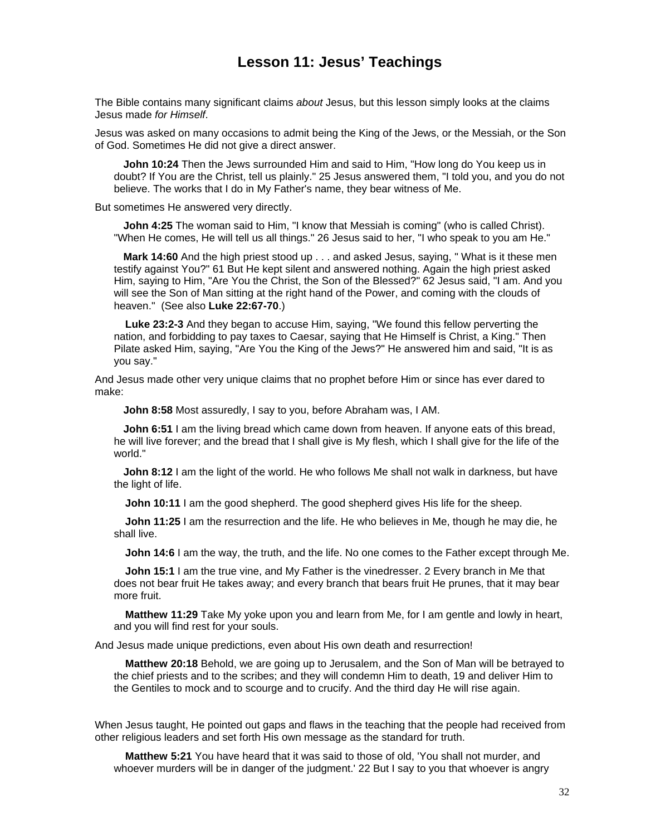# **Lesson 11: Jesus' Teachings**

<span id="page-32-0"></span>The Bible contains many significant claims *about* Jesus, but this lesson simply looks at the claims Jesus made *for Himself*.

Jesus was asked on many occasions to admit being the King of the Jews, or the Messiah, or the Son of God. Sometimes He did not give a direct answer.

**John 10:24** Then the Jews surrounded Him and said to Him, "How long do You keep us in doubt? If You are the Christ, tell us plainly." 25 Jesus answered them, "I told you, and you do not believe. The works that I do in My Father's name, they bear witness of Me.

But sometimes He answered very directly.

**John 4:25** The woman said to Him, "I know that Messiah is coming" (who is called Christ). "When He comes, He will tell us all things." 26 Jesus said to her, "I who speak to you am He."

**Mark 14:60** And the high priest stood up . . . and asked Jesus, saying, " What is it these men testify against You?" 61 But He kept silent and answered nothing. Again the high priest asked Him, saying to Him, "Are You the Christ, the Son of the Blessed?" 62 Jesus said, "I am. And you will see the Son of Man sitting at the right hand of the Power, and coming with the clouds of heaven." (See also **Luke 22:67-70**.)

 **Luke 23:2-3** And they began to accuse Him, saying, "We found this fellow perverting the nation, and forbidding to pay taxes to Caesar, saying that He Himself is Christ, a King." Then Pilate asked Him, saying, "Are You the King of the Jews?" He answered him and said, "It is as you say."

And Jesus made other very unique claims that no prophet before Him or since has ever dared to make:

**John 8:58** Most assuredly, I say to you, before Abraham was, I AM.

**John 6:51** I am the living bread which came down from heaven. If anyone eats of this bread, he will live forever; and the bread that I shall give is My flesh, which I shall give for the life of the world."

**John 8:12** I am the light of the world. He who follows Me shall not walk in darkness, but have the light of life.

**John 10:11** I am the good shepherd. The good shepherd gives His life for the sheep.

**John 11:25** I am the resurrection and the life. He who believes in Me, though he may die, he shall live.

**John 14:6** I am the way, the truth, and the life. No one comes to the Father except through Me.

 **John 15:1** I am the true vine, and My Father is the vinedresser. 2 Every branch in Me that does not bear fruit He takes away; and every branch that bears fruit He prunes, that it may bear more fruit.

**Matthew 11:29** Take My yoke upon you and learn from Me, for I am gentle and lowly in heart, and you will find rest for your souls.

And Jesus made unique predictions, even about His own death and resurrection!

**Matthew 20:18** Behold, we are going up to Jerusalem, and the Son of Man will be betrayed to the chief priests and to the scribes; and they will condemn Him to death, 19 and deliver Him to the Gentiles to mock and to scourge and to crucify. And the third day He will rise again.

When Jesus taught, He pointed out gaps and flaws in the teaching that the people had received from other religious leaders and set forth His own message as the standard for truth.

**Matthew 5:21** You have heard that it was said to those of old, 'You shall not murder, and whoever murders will be in danger of the judgment.' 22 But I say to you that whoever is angry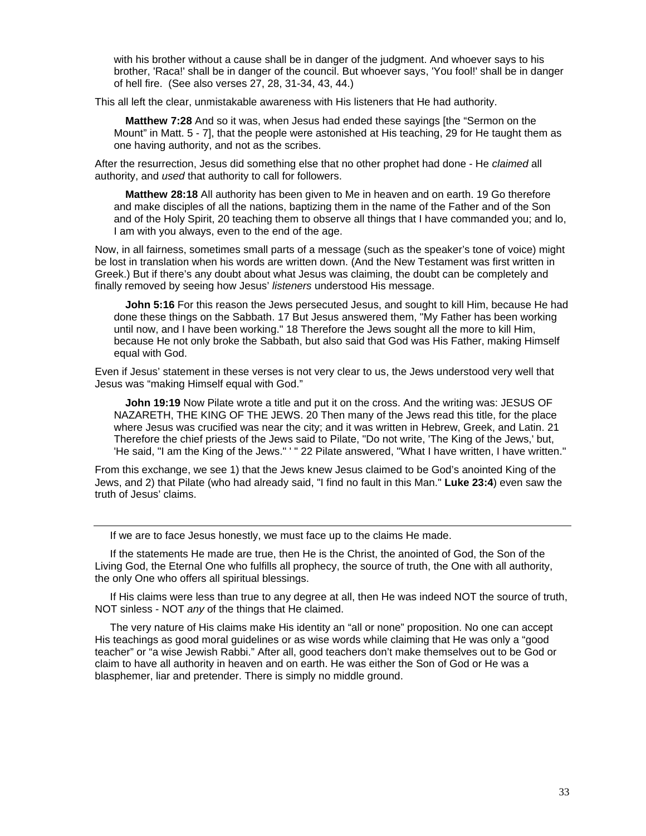with his brother without a cause shall be in danger of the judgment. And whoever says to his brother, 'Raca!' shall be in danger of the council. But whoever says, 'You fool!' shall be in danger of hell fire. (See also verses 27, 28, 31-34, 43, 44.)

This all left the clear, unmistakable awareness with His listeners that He had authority.

**Matthew 7:28** And so it was, when Jesus had ended these sayings [the "Sermon on the Mount" in Matt. 5 - 7], that the people were astonished at His teaching, 29 for He taught them as one having authority, and not as the scribes.

After the resurrection, Jesus did something else that no other prophet had done - He *claimed* all authority, and *used* that authority to call for followers.

**Matthew 28:18** All authority has been given to Me in heaven and on earth. 19 Go therefore and make disciples of all the nations, baptizing them in the name of the Father and of the Son and of the Holy Spirit, 20 teaching them to observe all things that I have commanded you; and lo, I am with you always, even to the end of the age.

Now, in all fairness, sometimes small parts of a message (such as the speaker's tone of voice) might be lost in translation when his words are written down. (And the New Testament was first written in Greek.) But if there's any doubt about what Jesus was claiming, the doubt can be completely and finally removed by seeing how Jesus' *listeners* understood His message.

**John 5:16** For this reason the Jews persecuted Jesus, and sought to kill Him, because He had done these things on the Sabbath. 17 But Jesus answered them, "My Father has been working until now, and I have been working." 18 Therefore the Jews sought all the more to kill Him, because He not only broke the Sabbath, but also said that God was His Father, making Himself equal with God.

Even if Jesus' statement in these verses is not very clear to us, the Jews understood very well that Jesus was "making Himself equal with God."

 **John 19:19** Now Pilate wrote a title and put it on the cross. And the writing was: JESUS OF NAZARETH, THE KING OF THE JEWS. 20 Then many of the Jews read this title, for the place where Jesus was crucified was near the city; and it was written in Hebrew, Greek, and Latin. 21 Therefore the chief priests of the Jews said to Pilate, "Do not write, 'The King of the Jews,' but, 'He said, "I am the King of the Jews." ' " 22 Pilate answered, "What I have written, I have written."

From this exchange, we see 1) that the Jews knew Jesus claimed to be God's anointed King of the Jews, and 2) that Pilate (who had already said, "I find no fault in this Man." **Luke 23:4**) even saw the truth of Jesus' claims.

If we are to face Jesus honestly, we must face up to the claims He made.

 If the statements He made are true, then He is the Christ, the anointed of God, the Son of the Living God, the Eternal One who fulfills all prophecy, the source of truth, the One with all authority, the only One who offers all spiritual blessings.

 If His claims were less than true to any degree at all, then He was indeed NOT the source of truth, NOT sinless - NOT *any* of the things that He claimed.

 The very nature of His claims make His identity an "all or none" proposition. No one can accept His teachings as good moral guidelines or as wise words while claiming that He was only a "good teacher" or "a wise Jewish Rabbi." After all, good teachers don't make themselves out to be God or claim to have all authority in heaven and on earth. He was either the Son of God or He was a blasphemer, liar and pretender. There is simply no middle ground.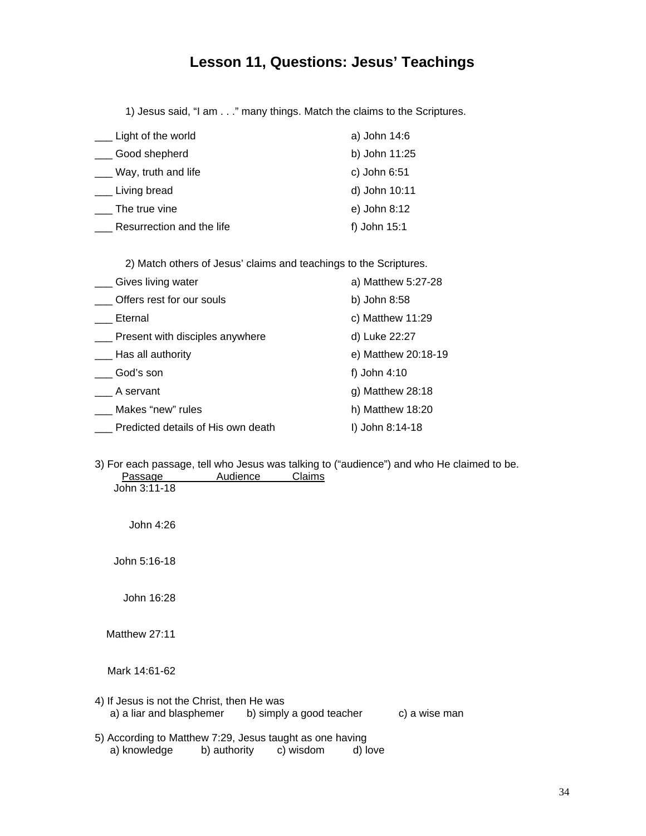# **Lesson 11, Questions: Jesus' Teachings**

1) Jesus said, "I am . . ." many things. Match the claims to the Scriptures.

| Light of the world        | a) John 14:6   |
|---------------------------|----------------|
| Good shepherd             | b) John 11:25  |
| Way, truth and life       | c) John 6:51   |
| Living bread              | d) John 10:11  |
| The true vine             | e) John 8:12   |
| Resurrection and the life | f) John $15:1$ |

2) Match others of Jesus' claims and teachings to the Scriptures.

| Gives living water                 | a) Matthew 5:27-28  |
|------------------------------------|---------------------|
| Offers rest for our souls          | b) John 8:58        |
| Eternal                            | c) Matthew 11:29    |
| Present with disciples anywhere    | d) Luke 22:27       |
| Has all authority                  | e) Matthew 20:18-19 |
| God's son                          | f) John 4:10        |
| A servant                          | g) Matthew $28:18$  |
| Makes "new" rules                  | h) Matthew 18:20    |
| Predicted details of His own death | l) John 8:14-18     |

3) For each passage, tell who Jesus was talking to ("audience") and who He claimed to be.<br>Passage **Audience** Claims Passage **Audience** Claims

| John 3:11-18                               |                                                                                       |         |               |
|--------------------------------------------|---------------------------------------------------------------------------------------|---------|---------------|
| John 4:26                                  |                                                                                       |         |               |
| John 5:16-18                               |                                                                                       |         |               |
| John 16:28                                 |                                                                                       |         |               |
| Matthew 27:11                              |                                                                                       |         |               |
| Mark 14:61-62                              |                                                                                       |         |               |
| 4) If Jesus is not the Christ, then He was | a) a liar and blasphemer b) simply a good teacher                                     |         | c) a wise man |
| a) knowledge                               | 5) According to Matthew 7:29, Jesus taught as one having<br>b) authority<br>c) wisdom | d) love |               |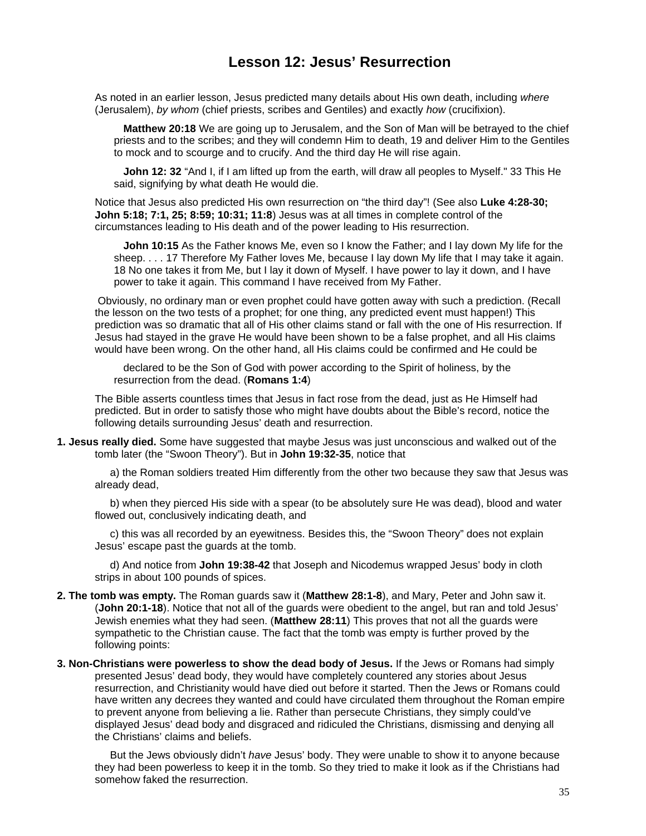# **Lesson 12: Jesus' Resurrection**

<span id="page-35-0"></span>As noted in an earlier lesson, Jesus predicted many details about His own death, including *where* (Jerusalem), *by whom* (chief priests, scribes and Gentiles) and exactly *how* (crucifixion).

**Matthew 20:18** We are going up to Jerusalem, and the Son of Man will be betrayed to the chief priests and to the scribes; and they will condemn Him to death, 19 and deliver Him to the Gentiles to mock and to scourge and to crucify. And the third day He will rise again.

**John 12: 32** "And I, if I am lifted up from the earth, will draw all peoples to Myself." 33 This He said, signifying by what death He would die.

Notice that Jesus also predicted His own resurrection on "the third day"! (See also **Luke 4:28-30; John 5:18; 7:1, 25; 8:59; 10:31; 11:8**) Jesus was at all times in complete control of the circumstances leading to His death and of the power leading to His resurrection.

**John 10:15** As the Father knows Me, even so I know the Father; and I lay down My life for the sheep. . . . 17 Therefore My Father loves Me, because I lay down My life that I may take it again. 18 No one takes it from Me, but I lay it down of Myself. I have power to lay it down, and I have power to take it again. This command I have received from My Father.

 Obviously, no ordinary man or even prophet could have gotten away with such a prediction. (Recall the lesson on the two tests of a prophet; for one thing, any predicted event must happen!) This prediction was so dramatic that all of His other claims stand or fall with the one of His resurrection. If Jesus had stayed in the grave He would have been shown to be a false prophet, and all His claims would have been wrong. On the other hand, all His claims could be confirmed and He could be

declared to be the Son of God with power according to the Spirit of holiness, by the resurrection from the dead. (**Romans 1:4**)

The Bible asserts countless times that Jesus in fact rose from the dead, just as He Himself had predicted. But in order to satisfy those who might have doubts about the Bible's record, notice the following details surrounding Jesus' death and resurrection.

**1. Jesus really died.** Some have suggested that maybe Jesus was just unconscious and walked out of the tomb later (the "Swoon Theory"). But in **John 19:32-35**, notice that

 a) the Roman soldiers treated Him differently from the other two because they saw that Jesus was already dead,

 b) when they pierced His side with a spear (to be absolutely sure He was dead), blood and water flowed out, conclusively indicating death, and

 c) this was all recorded by an eyewitness. Besides this, the "Swoon Theory" does not explain Jesus' escape past the guards at the tomb.

 d) And notice from **John 19:38-42** that Joseph and Nicodemus wrapped Jesus' body in cloth strips in about 100 pounds of spices.

- **2. The tomb was empty.** The Roman guards saw it (**Matthew 28:1-8**), and Mary, Peter and John saw it. (**John 20:1-18**). Notice that not all of the guards were obedient to the angel, but ran and told Jesus' Jewish enemies what they had seen. (**Matthew 28:11**) This proves that not all the guards were sympathetic to the Christian cause. The fact that the tomb was empty is further proved by the following points:
- **3. Non-Christians were powerless to show the dead body of Jesus.** If the Jews or Romans had simply presented Jesus' dead body, they would have completely countered any stories about Jesus resurrection, and Christianity would have died out before it started. Then the Jews or Romans could have written any decrees they wanted and could have circulated them throughout the Roman empire to prevent anyone from believing a lie. Rather than persecute Christians, they simply could've displayed Jesus' dead body and disgraced and ridiculed the Christians, dismissing and denying all the Christians' claims and beliefs.

 But the Jews obviously didn't *have* Jesus' body. They were unable to show it to anyone because they had been powerless to keep it in the tomb. So they tried to make it look as if the Christians had somehow faked the resurrection.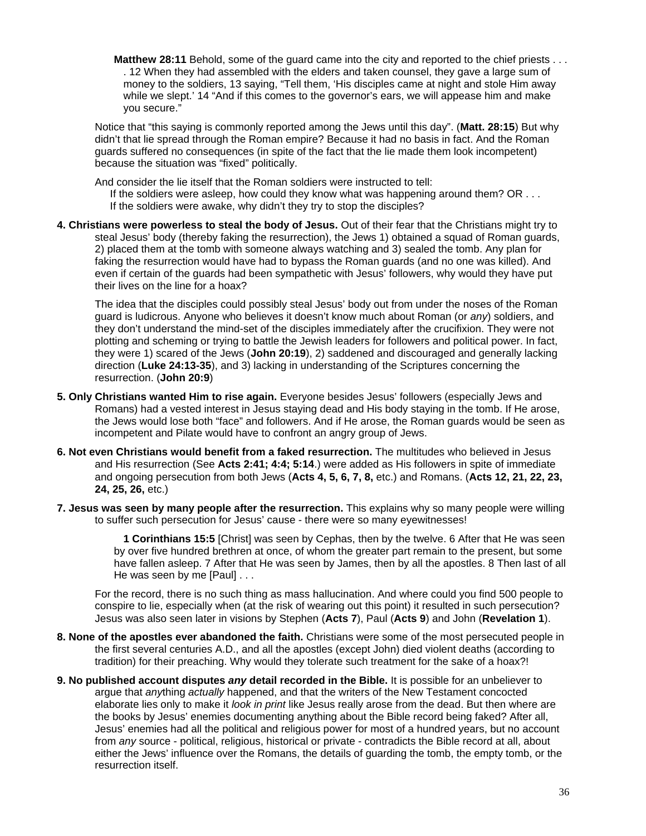**Matthew 28:11** Behold, some of the guard came into the city and reported to the chief priests . . . . 12 When they had assembled with the elders and taken counsel, they gave a large sum of money to the soldiers, 13 saying, "Tell them, 'His disciples came at night and stole Him away while we slept.' 14 "And if this comes to the governor's ears, we will appease him and make you secure."

Notice that "this saying is commonly reported among the Jews until this day". (**Matt. 28:15**) But why didn't that lie spread through the Roman empire? Because it had no basis in fact. And the Roman guards suffered no consequences (in spite of the fact that the lie made them look incompetent) because the situation was "fixed" politically.

And consider the lie itself that the Roman soldiers were instructed to tell:

 If the soldiers were asleep, how could they know what was happening around them? OR . . . If the soldiers were awake, why didn't they try to stop the disciples?

**4. Christians were powerless to steal the body of Jesus.** Out of their fear that the Christians might try to steal Jesus' body (thereby faking the resurrection), the Jews 1) obtained a squad of Roman guards, 2) placed them at the tomb with someone always watching and 3) sealed the tomb. Any plan for faking the resurrection would have had to bypass the Roman guards (and no one was killed). And even if certain of the guards had been sympathetic with Jesus' followers, why would they have put their lives on the line for a hoax?

The idea that the disciples could possibly steal Jesus' body out from under the noses of the Roman guard is ludicrous. Anyone who believes it doesn't know much about Roman (or *any*) soldiers, and they don't understand the mind-set of the disciples immediately after the crucifixion. They were not plotting and scheming or trying to battle the Jewish leaders for followers and political power. In fact, they were 1) scared of the Jews (**John 20:19**), 2) saddened and discouraged and generally lacking direction (**Luke 24:13-35**), and 3) lacking in understanding of the Scriptures concerning the resurrection. (**John 20:9**)

- **5. Only Christians wanted Him to rise again.** Everyone besides Jesus' followers (especially Jews and Romans) had a vested interest in Jesus staying dead and His body staying in the tomb. If He arose, the Jews would lose both "face" and followers. And if He arose, the Roman guards would be seen as incompetent and Pilate would have to confront an angry group of Jews.
- **6. Not even Christians would benefit from a faked resurrection.** The multitudes who believed in Jesus and His resurrection (See **Acts 2:41; 4:4; 5:14**.) were added as His followers in spite of immediate and ongoing persecution from both Jews (**Acts 4, 5, 6, 7, 8,** etc.) and Romans. (**Acts 12, 21, 22, 23, 24, 25, 26,** etc.)
- **7. Jesus was seen by many people after the resurrection.** This explains why so many people were willing to suffer such persecution for Jesus' cause - there were so many eyewitnesses!

**1 Corinthians 15:5** [Christ] was seen by Cephas, then by the twelve. 6 After that He was seen by over five hundred brethren at once, of whom the greater part remain to the present, but some have fallen asleep. 7 After that He was seen by James, then by all the apostles. 8 Then last of all He was seen by me [Paul] . . .

For the record, there is no such thing as mass hallucination. And where could you find 500 people to conspire to lie, especially when (at the risk of wearing out this point) it resulted in such persecution? Jesus was also seen later in visions by Stephen (**Acts 7**), Paul (**Acts 9**) and John (**Revelation 1**).

- **8. None of the apostles ever abandoned the faith.** Christians were some of the most persecuted people in the first several centuries A.D., and all the apostles (except John) died violent deaths (according to tradition) for their preaching. Why would they tolerate such treatment for the sake of a hoax?!
- **9. No published account disputes** *any* **detail recorded in the Bible.** It is possible for an unbeliever to argue that *any*thing *actually* happened, and that the writers of the New Testament concocted elaborate lies only to make it *look in print* like Jesus really arose from the dead. But then where are the books by Jesus' enemies documenting anything about the Bible record being faked? After all, Jesus' enemies had all the political and religious power for most of a hundred years, but no account from *any* source - political, religious, historical or private - contradicts the Bible record at all, about either the Jews' influence over the Romans, the details of guarding the tomb, the empty tomb, or the resurrection itself.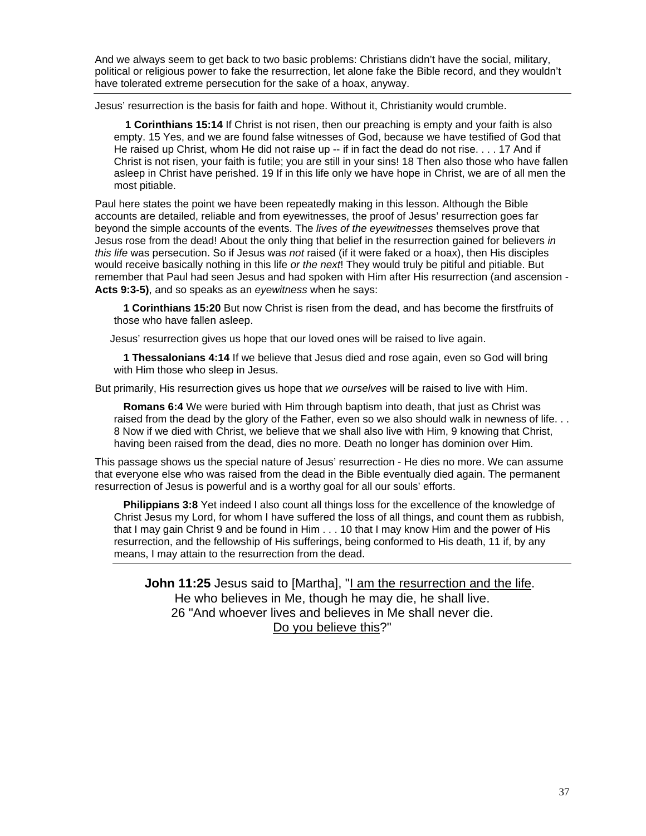And we always seem to get back to two basic problems: Christians didn't have the social, military, political or religious power to fake the resurrection, let alone fake the Bible record, and they wouldn't have tolerated extreme persecution for the sake of a hoax, anyway.

Jesus' resurrection is the basis for faith and hope. Without it, Christianity would crumble.

**1 Corinthians 15:14** If Christ is not risen, then our preaching is empty and your faith is also empty. 15 Yes, and we are found false witnesses of God, because we have testified of God that He raised up Christ, whom He did not raise up -- if in fact the dead do not rise. . . . 17 And if Christ is not risen, your faith is futile; you are still in your sins! 18 Then also those who have fallen asleep in Christ have perished. 19 If in this life only we have hope in Christ, we are of all men the most pitiable.

Paul here states the point we have been repeatedly making in this lesson. Although the Bible accounts are detailed, reliable and from eyewitnesses, the proof of Jesus' resurrection goes far beyond the simple accounts of the events. The *lives of the eyewitnesses* themselves prove that Jesus rose from the dead! About the only thing that belief in the resurrection gained for believers *in this life* was persecution. So if Jesus was *not* raised (if it were faked or a hoax), then His disciples would receive basically nothing in this life *or the next*! They would truly be pitiful and pitiable. But remember that Paul had seen Jesus and had spoken with Him after His resurrection (and ascension - **Acts 9:3-5)**, and so speaks as an *eyewitness* when he says:

**1 Corinthians 15:20** But now Christ is risen from the dead, and has become the firstfruits of those who have fallen asleep.

Jesus' resurrection gives us hope that our loved ones will be raised to live again.

**1 Thessalonians 4:14** If we believe that Jesus died and rose again, even so God will bring with Him those who sleep in Jesus.

But primarily, His resurrection gives us hope that *we ourselves* will be raised to live with Him.

**Romans 6:4** We were buried with Him through baptism into death, that just as Christ was raised from the dead by the glory of the Father, even so we also should walk in newness of life. . . 8 Now if we died with Christ, we believe that we shall also live with Him, 9 knowing that Christ, having been raised from the dead, dies no more. Death no longer has dominion over Him.

This passage shows us the special nature of Jesus' resurrection - He dies no more. We can assume that everyone else who was raised from the dead in the Bible eventually died again. The permanent resurrection of Jesus is powerful and is a worthy goal for all our souls' efforts.

**Philippians 3:8** Yet indeed I also count all things loss for the excellence of the knowledge of Christ Jesus my Lord, for whom I have suffered the loss of all things, and count them as rubbish, that I may gain Christ 9 and be found in Him . . . 10 that I may know Him and the power of His resurrection, and the fellowship of His sufferings, being conformed to His death, 11 if, by any means, I may attain to the resurrection from the dead.

**John 11:25** Jesus said to [Martha], "I am the resurrection and the life. He who believes in Me, though he may die, he shall live. 26 "And whoever lives and believes in Me shall never die. Do you believe this?"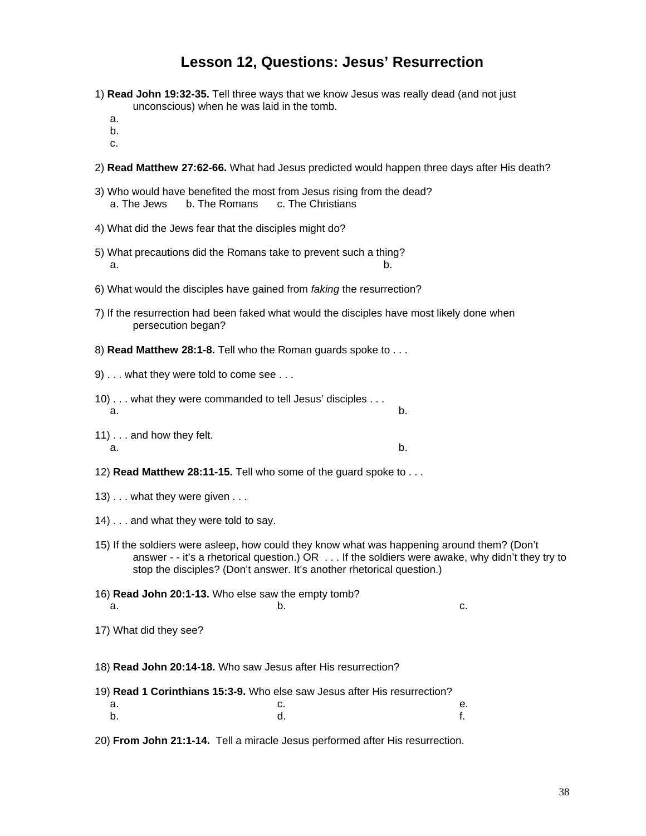# **Lesson 12, Questions: Jesus' Resurrection**

- 1) **Read John 19:32-35.** Tell three ways that we know Jesus was really dead (and not just unconscious) when he was laid in the tomb.
	- a.
	- b.
	- c.
- 2) **Read Matthew 27:62-66.** What had Jesus predicted would happen three days after His death?
- 3) Who would have benefited the most from Jesus rising from the dead? a. The Jews b. The Romans c. The Christians
- 4) What did the Jews fear that the disciples might do?
- 5) What precautions did the Romans take to prevent such a thing? a. b.
- 6) What would the disciples have gained from *faking* the resurrection?
- 7) If the resurrection had been faked what would the disciples have most likely done when persecution began?
- 8) **Read Matthew 28:1-8.** Tell who the Roman guards spoke to . . .
- 9) . . . what they were told to come see . . .
- 10) . . . what they were commanded to tell Jesus' disciples . . . a. b. 11) . . . and how they felt.
- a. b.
- 12) **Read Matthew 28:11-15.** Tell who some of the guard spoke to . . .
- 13) . . . what they were given . . .
- 14) . . . and what they were told to say.
- 15) If the soldiers were asleep, how could they know what was happening around them? (Don't answer - - it's a rhetorical question.) OR . . . If the soldiers were awake, why didn't they try to stop the disciples? (Don't answer. It's another rhetorical question.)
- 16) **Read John 20:1-13.** Who else saw the empty tomb? a.  $\qquad \qquad b.$  c.
- 17) What did they see?
- 18) **Read John 20:14-18.** Who saw Jesus after His resurrection?
- 19) **Read 1 Corinthians 15:3-9.** Who else saw Jesus after His resurrection? a. c. e. b. d. f.
- 20) **From John 21:1-14.** Tell a miracle Jesus performed after His resurrection.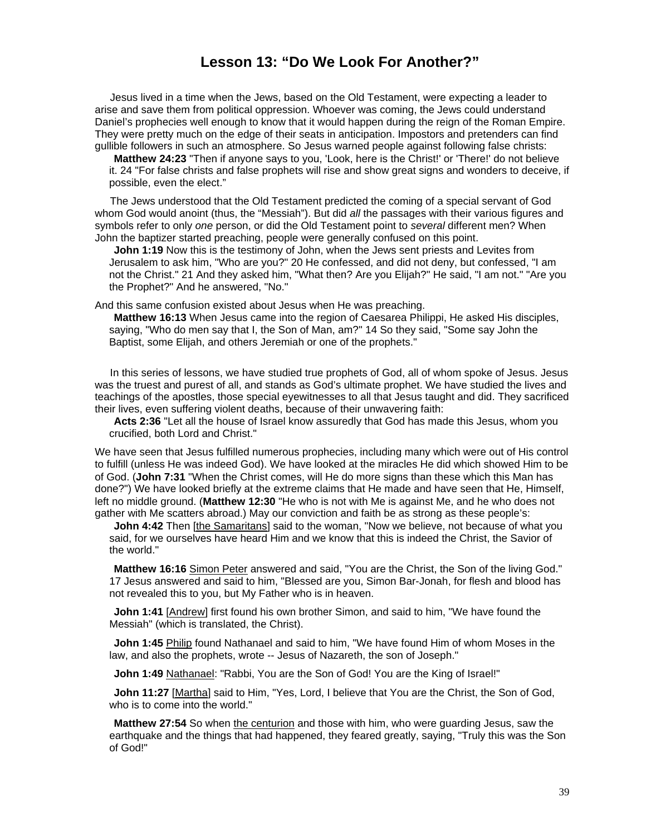### **Lesson 13: "Do We Look For Another?"**

<span id="page-39-0"></span> Jesus lived in a time when the Jews, based on the Old Testament, were expecting a leader to arise and save them from political oppression. Whoever was coming, the Jews could understand Daniel's prophecies well enough to know that it would happen during the reign of the Roman Empire. They were pretty much on the edge of their seats in anticipation. Impostors and pretenders can find gullible followers in such an atmosphere. So Jesus warned people against following false christs:

**Matthew 24:23** "Then if anyone says to you, 'Look, here is the Christ!' or 'There!' do not believe it. 24 "For false christs and false prophets will rise and show great signs and wonders to deceive, if possible, even the elect."

 The Jews understood that the Old Testament predicted the coming of a special servant of God whom God would anoint (thus, the "Messiah"). But did *all* the passages with their various figures and symbols refer to only *one* person, or did the Old Testament point to *several* different men? When John the baptizer started preaching, people were generally confused on this point.

**John 1:19** Now this is the testimony of John, when the Jews sent priests and Levites from Jerusalem to ask him, "Who are you?" 20 He confessed, and did not deny, but confessed, "I am not the Christ." 21 And they asked him, "What then? Are you Elijah?" He said, "I am not." "Are you the Prophet?" And he answered, "No."

And this same confusion existed about Jesus when He was preaching.

**Matthew 16:13** When Jesus came into the region of Caesarea Philippi, He asked His disciples, saying, "Who do men say that I, the Son of Man, am?" 14 So they said, "Some say John the Baptist, some Elijah, and others Jeremiah or one of the prophets."

 In this series of lessons, we have studied true prophets of God, all of whom spoke of Jesus. Jesus was the truest and purest of all, and stands as God's ultimate prophet. We have studied the lives and teachings of the apostles, those special eyewitnesses to all that Jesus taught and did. They sacrificed their lives, even suffering violent deaths, because of their unwavering faith:

**Acts 2:36** "Let all the house of Israel know assuredly that God has made this Jesus, whom you crucified, both Lord and Christ."

We have seen that Jesus fulfilled numerous prophecies, including many which were out of His control to fulfill (unless He was indeed God). We have looked at the miracles He did which showed Him to be of God. (**John 7:31** "When the Christ comes, will He do more signs than these which this Man has done?") We have looked briefly at the extreme claims that He made and have seen that He, Himself, left no middle ground. (**Matthew 12:30** "He who is not with Me is against Me, and he who does not gather with Me scatters abroad.) May our conviction and faith be as strong as these people's:

**John 4:42** Then [the Samaritans] said to the woman, "Now we believe, not because of what you said, for we ourselves have heard Him and we know that this is indeed the Christ, the Savior of the world."

**Matthew 16:16** Simon Peter answered and said, "You are the Christ, the Son of the living God." 17 Jesus answered and said to him, "Blessed are you, Simon Bar-Jonah, for flesh and blood has not revealed this to you, but My Father who is in heaven.

**John 1:41** [Andrew] first found his own brother Simon, and said to him, "We have found the Messiah" (which is translated, the Christ).

**John 1:45** Philip found Nathanael and said to him, "We have found Him of whom Moses in the law, and also the prophets, wrote -- Jesus of Nazareth, the son of Joseph."

**John 1:49** Nathanael: "Rabbi, You are the Son of God! You are the King of Israel!"

**John 11:27** [Martha] said to Him, "Yes, Lord, I believe that You are the Christ, the Son of God, who is to come into the world."

**Matthew 27:54** So when the centurion and those with him, who were guarding Jesus, saw the earthquake and the things that had happened, they feared greatly, saying, "Truly this was the Son of God!"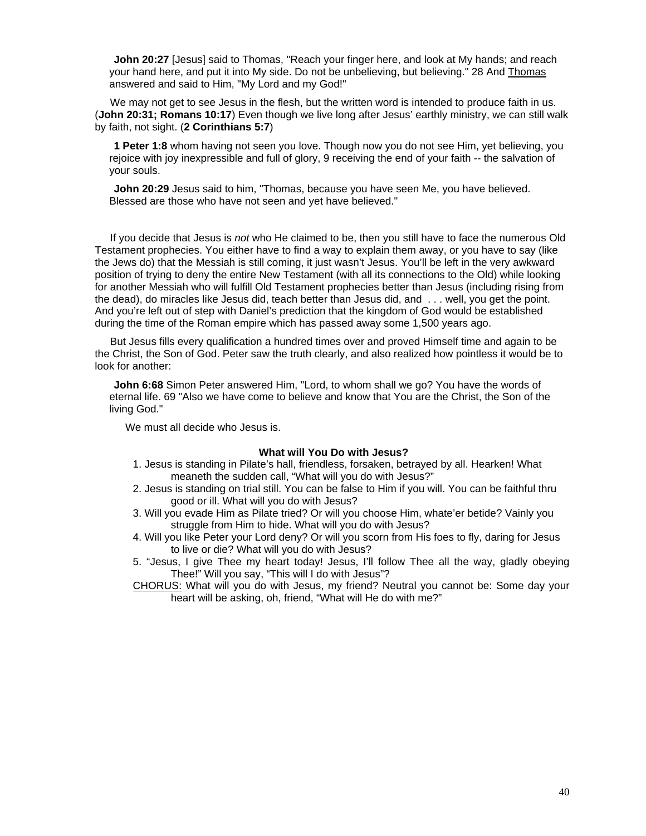**John 20:27** [Jesus] said to Thomas, "Reach your finger here, and look at My hands; and reach your hand here, and put it into My side. Do not be unbelieving, but believing." 28 And Thomas answered and said to Him, "My Lord and my God!"

 We may not get to see Jesus in the flesh, but the written word is intended to produce faith in us. (**John 20:31; Romans 10:17**) Even though we live long after Jesus' earthly ministry, we can still walk by faith, not sight. (**2 Corinthians 5:7**)

**1 Peter 1:8** whom having not seen you love. Though now you do not see Him, yet believing, you rejoice with joy inexpressible and full of glory, 9 receiving the end of your faith -- the salvation of your souls.

**John 20:29** Jesus said to him, "Thomas, because you have seen Me, you have believed. Blessed are those who have not seen and yet have believed."

 If you decide that Jesus is *not* who He claimed to be, then you still have to face the numerous Old Testament prophecies. You either have to find a way to explain them away, or you have to say (like the Jews do) that the Messiah is still coming, it just wasn't Jesus. You'll be left in the very awkward position of trying to deny the entire New Testament (with all its connections to the Old) while looking for another Messiah who will fulfill Old Testament prophecies better than Jesus (including rising from the dead), do miracles like Jesus did, teach better than Jesus did, and . . . well, you get the point. And you're left out of step with Daniel's prediction that the kingdom of God would be established during the time of the Roman empire which has passed away some 1,500 years ago.

 But Jesus fills every qualification a hundred times over and proved Himself time and again to be the Christ, the Son of God. Peter saw the truth clearly, and also realized how pointless it would be to look for another:

**John 6:68** Simon Peter answered Him, "Lord, to whom shall we go? You have the words of eternal life. 69 "Also we have come to believe and know that You are the Christ, the Son of the living God."

We must all decide who Jesus is.

#### **What will You Do with Jesus?**

- 1. Jesus is standing in Pilate's hall, friendless, forsaken, betrayed by all. Hearken! What meaneth the sudden call, "What will you do with Jesus?"
- 2. Jesus is standing on trial still. You can be false to Him if you will. You can be faithful thru good or ill. What will you do with Jesus?
- 3. Will you evade Him as Pilate tried? Or will you choose Him, whate'er betide? Vainly you struggle from Him to hide. What will you do with Jesus?
- 4. Will you like Peter your Lord deny? Or will you scorn from His foes to fly, daring for Jesus to live or die? What will you do with Jesus?
- 5. "Jesus, I give Thee my heart today! Jesus, I'll follow Thee all the way, gladly obeying Thee!" Will you say, "This will I do with Jesus"?
- CHORUS: What will you do with Jesus, my friend? Neutral you cannot be: Some day your heart will be asking, oh, friend, "What will He do with me?"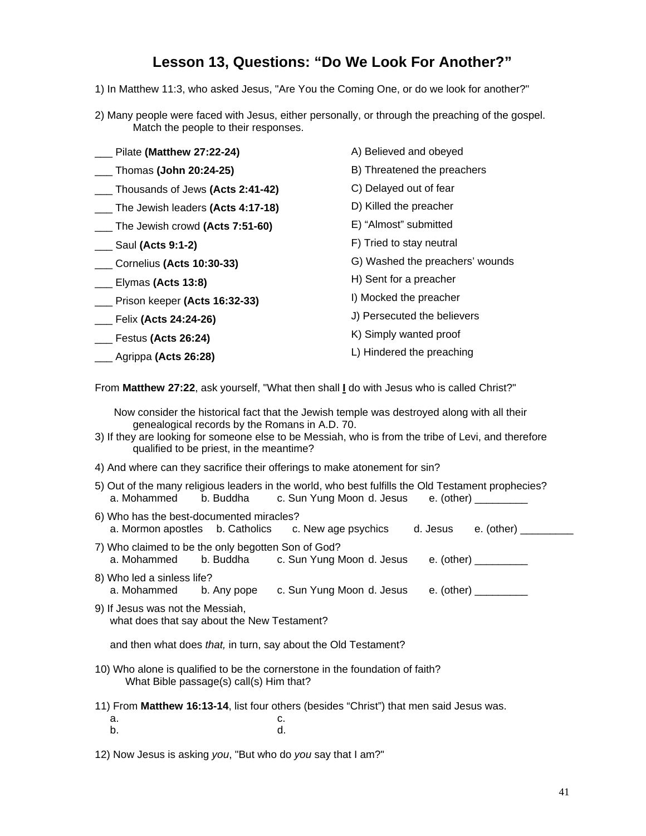# **Lesson 13, Questions: "Do We Look For Another?"**

- 1) In Matthew 11:3, who asked Jesus, "Are You the Coming One, or do we look for another?"
- 2) Many people were faced with Jesus, either personally, or through the preaching of the gospel. Match the people to their responses.
- \_\_\_ Pilate **(Matthew 27:22-24)**  \_\_\_ Thomas **(John 20:24-25)**  \_\_\_ Thousands of Jews **(Acts 2:41-42)** \_\_\_ The Jewish leaders **(Acts 4:17-18)**  \_\_\_ The Jewish crowd **(Acts 7:51-60)**  \_\_\_ Saul **(Acts 9:1-2)**  \_\_\_ Cornelius **(Acts 10:30-33)**  \_\_\_ Elymas **(Acts 13:8)**  \_\_\_ Prison keeper **(Acts 16:32-33)** \_\_\_ Felix **(Acts 24:24-26)** \_\_\_ Festus **(Acts 26:24)**  \_\_\_ Agrippa **(Acts 26:28)** A) Believed and obeyed B) Threatened the preachers C) Delayed out of fear D) Killed the preacher E) "Almost" submitted F) Tried to stay neutral G) Washed the preachers' wounds H) Sent for a preacher I) Mocked the preacher J) Persecuted the believers K) Simply wanted proof L) Hindered the preaching

From **Matthew 27:22**, ask yourself, "What then shall **I** do with Jesus who is called Christ?"

Now consider the historical fact that the Jewish temple was destroyed along with all their genealogical records by the Romans in A.D. 70.

- 3) If they are looking for someone else to be Messiah, who is from the tribe of Levi, and therefore qualified to be priest, in the meantime?
- 4) And where can they sacrifice their offerings to make atonement for sin?

|                                                                                 |           | 5) Out of the many religious leaders in the world, who best fulfills the Old Testament prophecies? |                       |
|---------------------------------------------------------------------------------|-----------|----------------------------------------------------------------------------------------------------|-----------------------|
| a. Mohammed                                                                     | b. Buddha | c. Sun Yung Moon d. Jesus                                                                          | e. (other) __________ |
| $\bigcap$ MIL is the set that the set of the set of set of the set of $\bigcap$ |           |                                                                                                    |                       |

| 6) Who has the best-documented miracles? |                                                                   |           |                                                     |          |                       |  |  |  |  |  |
|------------------------------------------|-------------------------------------------------------------------|-----------|-----------------------------------------------------|----------|-----------------------|--|--|--|--|--|
|                                          |                                                                   |           | a. Mormon apostles b. Catholics c. New age psychics | d. Jesus | e. (other) __________ |  |  |  |  |  |
|                                          | 7) Who claimed to be the only begotten Son of God?<br>a. Mohammed | b. Buddha | c. Sun Yung Moon d. Jesus                           |          | e. (other) __________ |  |  |  |  |  |
| 8) Who led a sinless life?               |                                                                   |           |                                                     |          |                       |  |  |  |  |  |
|                                          | a. Mohammed b. Any pope                                           |           | c. Sun Yung Moon d. Jesus                           |          | e. (other) __________ |  |  |  |  |  |

9) If Jesus was not the Messiah, what does that say about the New Testament?

and then what does *that,* in turn, say about the Old Testament?

- 10) Who alone is qualified to be the cornerstone in the foundation of faith? What Bible passage(s) call(s) Him that?
- 11) From **Matthew 16:13-14**, list four others (besides "Christ") that men said Jesus was. a. c. b. d.

12) Now Jesus is asking *you*, "But who do *you* say that I am?"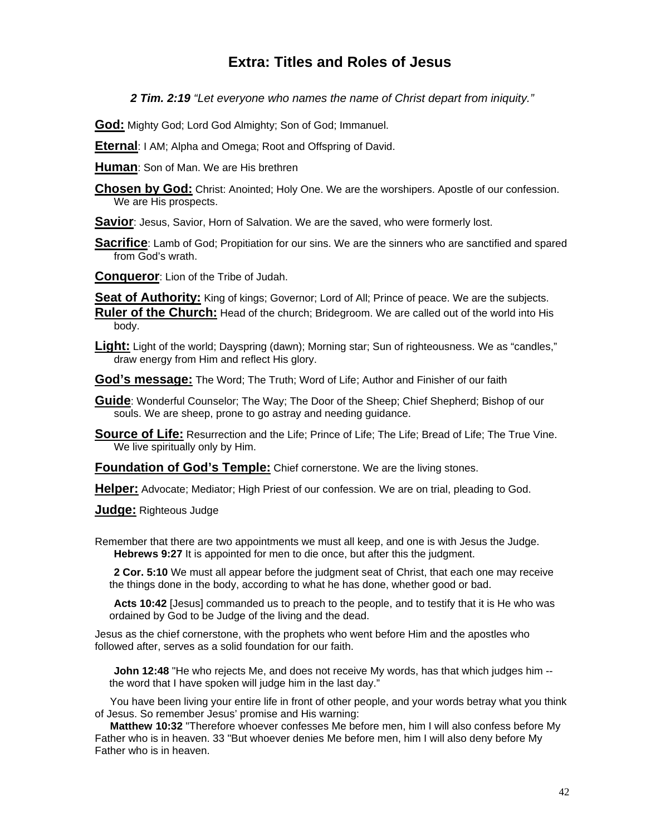# **Extra: Titles and Roles of Jesus**

*2 Tim. 2:19 "Let everyone who names the name of Christ depart from iniquity."*

<span id="page-42-0"></span>**God:** Mighty God; Lord God Almighty; Son of God; Immanuel.

**Eternal**: I AM; Alpha and Omega; Root and Offspring of David.

**Human**: Son of Man. We are His brethren

**Chosen by God:** Christ: Anointed; Holy One. We are the worshipers. Apostle of our confession. We are His prospects.

**Savior**: Jesus, Savior, Horn of Salvation. We are the saved, who were formerly lost.

**Sacrifice**: Lamb of God; Propitiation for our sins. We are the sinners who are sanctified and spared from God's wrath.

**Conqueror**: Lion of the Tribe of Judah.

**Seat of Authority:** King of kings; Governor; Lord of All; Prince of peace. We are the subjects. **Ruler of the Church:** Head of the church; Bridegroom. We are called out of the world into His body.

**Light:** Light of the world; Dayspring (dawn); Morning star; Sun of righteousness. We as "candles," draw energy from Him and reflect His glory.

**God's message:** The Word; The Truth; Word of Life; Author and Finisher of our faith

**Guide**: Wonderful Counselor; The Way; The Door of the Sheep; Chief Shepherd; Bishop of our souls. We are sheep, prone to go astray and needing guidance.

**Source of Life:** Resurrection and the Life; Prince of Life; The Life; Bread of Life; The True Vine. We live spiritually only by Him.

**Foundation of God's Temple:** Chief cornerstone. We are the living stones.

**Helper:** Advocate; Mediator; High Priest of our confession. We are on trial, pleading to God.

**Judge:** Righteous Judge

Remember that there are two appointments we must all keep, and one is with Jesus the Judge. **Hebrews 9:27** It is appointed for men to die once, but after this the judgment.

**2 Cor. 5:10** We must all appear before the judgment seat of Christ, that each one may receive the things done in the body, according to what he has done, whether good or bad.

**Acts 10:42** [Jesus] commanded us to preach to the people, and to testify that it is He who was ordained by God to be Judge of the living and the dead.

Jesus as the chief cornerstone, with the prophets who went before Him and the apostles who followed after, serves as a solid foundation for our faith.

**John 12:48** "He who rejects Me, and does not receive My words, has that which judges him - the word that I have spoken will judge him in the last day."

You have been living your entire life in front of other people, and your words betray what you think of Jesus. So remember Jesus' promise and His warning:

**Matthew 10:32** "Therefore whoever confesses Me before men, him I will also confess before My Father who is in heaven. 33 "But whoever denies Me before men, him I will also deny before My Father who is in heaven.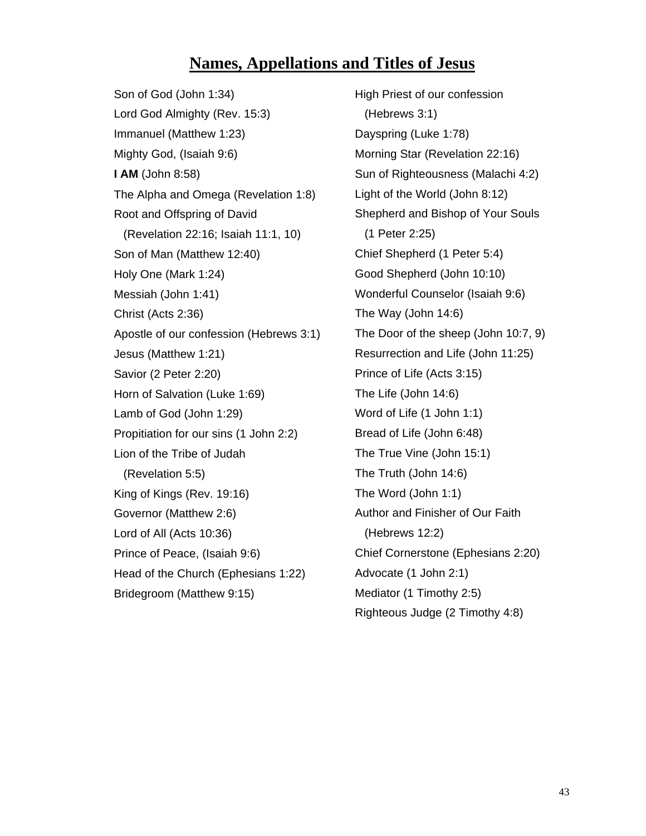# **Names, Appellations and Titles of Jesus**

Son of God (John 1:34) Lord God Almighty (Rev. 15:3) Immanuel (Matthew 1:23) Mighty God, (Isaiah 9:6) **I AM** (John 8:58) The Alpha and Omega (Revelation 1:8) Root and Offspring of David (Revelation 22:16; Isaiah 11:1, 10) Son of Man (Matthew 12:40) Holy One (Mark 1:24) Messiah (John 1:41) Christ (Acts 2:36) Apostle of our confession (Hebrews 3:1) Jesus (Matthew 1:21) Savior (2 Peter 2:20) Horn of Salvation (Luke 1:69) Lamb of God (John 1:29) Propitiation for our sins (1 John 2:2) Lion of the Tribe of Judah (Revelation 5:5) King of Kings (Rev. 19:16) Governor (Matthew 2:6) Lord of All (Acts 10:36) Prince of Peace, (Isaiah 9:6) Head of the Church (Ephesians 1:22) Bridegroom (Matthew 9:15)

High Priest of our confession (Hebrews 3:1) Dayspring (Luke 1:78) Morning Star (Revelation 22:16) Sun of Righteousness (Malachi 4:2) Light of the World (John 8:12) Shepherd and Bishop of Your Souls (1 Peter 2:25) Chief Shepherd (1 Peter 5:4) Good Shepherd (John 10:10) Wonderful Counselor (Isaiah 9:6) The Way (John 14:6) The Door of the sheep (John 10:7, 9) Resurrection and Life (John 11:25) Prince of Life (Acts 3:15) The Life (John 14:6) Word of Life (1 John 1:1) Bread of Life (John 6:48) The True Vine (John 15:1) The Truth (John 14:6) The Word (John 1:1) Author and Finisher of Our Faith (Hebrews 12:2) Chief Cornerstone (Ephesians 2:20) Advocate (1 John 2:1) Mediator (1 Timothy 2:5) Righteous Judge (2 Timothy 4:8)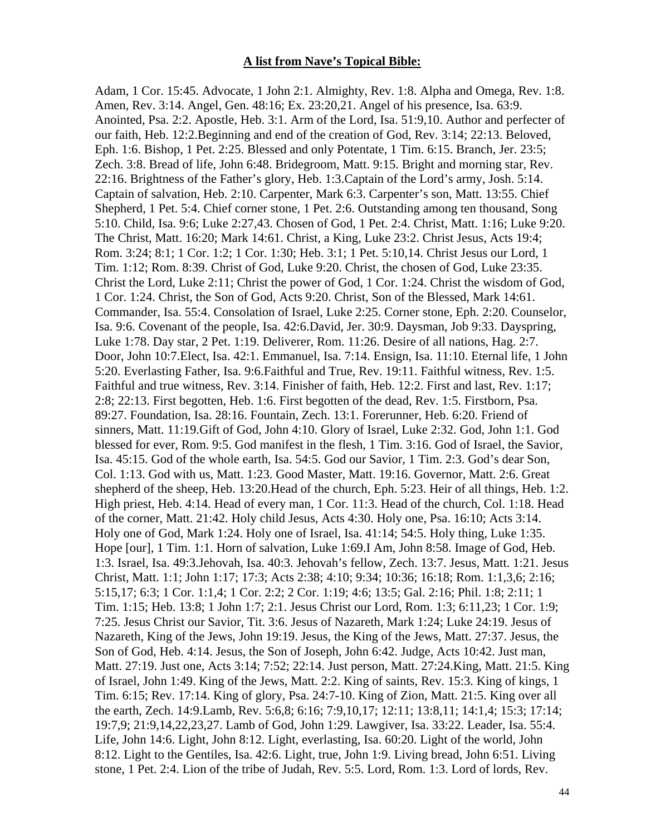Adam, 1 Cor. 15:45. Advocate, 1 John 2:1. Almighty, Rev. 1:8. Alpha and Omega, Rev. 1:8. Amen, Rev. 3:14. Angel, Gen. 48:16; Ex. 23:20,21. Angel of his presence, Isa. 63:9. Anointed, Psa. 2:2. Apostle, Heb. 3:1. Arm of the Lord, Isa. 51:9,10. Author and perfecter of our faith, Heb. 12:2.Beginning and end of the creation of God, Rev. 3:14; 22:13. Beloved, Eph. 1:6. Bishop, 1 Pet. 2:25. Blessed and only Potentate, 1 Tim. 6:15. Branch, Jer. 23:5; Zech. 3:8. Bread of life, John 6:48. Bridegroom, Matt. 9:15. Bright and morning star, Rev. 22:16. Brightness of the Father's glory, Heb. 1:3.Captain of the Lord's army, Josh. 5:14. Captain of salvation, Heb. 2:10. Carpenter, Mark 6:3. Carpenter's son, Matt. 13:55. Chief Shepherd, 1 Pet. 5:4. Chief corner stone, 1 Pet. 2:6. Outstanding among ten thousand, Song 5:10. Child, Isa. 9:6; Luke 2:27,43. Chosen of God, 1 Pet. 2:4. Christ, Matt. 1:16; Luke 9:20. The Christ, Matt. 16:20; Mark 14:61. Christ, a King, Luke 23:2. Christ Jesus, Acts 19:4; Rom. 3:24; 8:1; 1 Cor. 1:2; 1 Cor. 1:30; Heb. 3:1; 1 Pet. 5:10,14. Christ Jesus our Lord, 1 Tim. 1:12; Rom. 8:39. Christ of God, Luke 9:20. Christ, the chosen of God, Luke 23:35. Christ the Lord, Luke 2:11; Christ the power of God, 1 Cor. 1:24. Christ the wisdom of God, 1 Cor. 1:24. Christ, the Son of God, Acts 9:20. Christ, Son of the Blessed, Mark 14:61. Commander, Isa. 55:4. Consolation of Israel, Luke 2:25. Corner stone, Eph. 2:20. Counselor, Isa. 9:6. Covenant of the people, Isa. 42:6.David, Jer. 30:9. Daysman, Job 9:33. Dayspring, Luke 1:78. Day star, 2 Pet. 1:19. Deliverer, Rom. 11:26. Desire of all nations, Hag. 2:7. Door, John 10:7.Elect, Isa. 42:1. Emmanuel, Isa. 7:14. Ensign, Isa. 11:10. Eternal life, 1 John 5:20. Everlasting Father, Isa. 9:6.Faithful and True, Rev. 19:11. Faithful witness, Rev. 1:5. Faithful and true witness, Rev. 3:14. Finisher of faith, Heb. 12:2. First and last, Rev. 1:17; 2:8; 22:13. First begotten, Heb. 1:6. First begotten of the dead, Rev. 1:5. Firstborn, Psa. 89:27. Foundation, Isa. 28:16. Fountain, Zech. 13:1. Forerunner, Heb. 6:20. Friend of sinners, Matt. 11:19.Gift of God, John 4:10. Glory of Israel, Luke 2:32. God, John 1:1. God blessed for ever, Rom. 9:5. God manifest in the flesh, 1 Tim. 3:16. God of Israel, the Savior, Isa. 45:15. God of the whole earth, Isa. 54:5. God our Savior, 1 Tim. 2:3. God's dear Son, Col. 1:13. God with us, Matt. 1:23. Good Master, Matt. 19:16. Governor, Matt. 2:6. Great shepherd of the sheep, Heb. 13:20.Head of the church, Eph. 5:23. Heir of all things, Heb. 1:2. High priest, Heb. 4:14. Head of every man, 1 Cor. 11:3. Head of the church, Col. 1:18. Head of the corner, Matt. 21:42. Holy child Jesus, Acts 4:30. Holy one, Psa. 16:10; Acts 3:14. Holy one of God, Mark 1:24. Holy one of Israel, Isa. 41:14; 54:5. Holy thing, Luke 1:35. Hope [our], 1 Tim. 1:1. Horn of salvation, Luke 1:69.I Am, John 8:58. Image of God, Heb. 1:3. Israel, Isa. 49:3.Jehovah, Isa. 40:3. Jehovah's fellow, Zech. 13:7. Jesus, Matt. 1:21. Jesus Christ, Matt. 1:1; John 1:17; 17:3; Acts 2:38; 4:10; 9:34; 10:36; 16:18; Rom. 1:1,3,6; 2:16; 5:15,17; 6:3; 1 Cor. 1:1,4; 1 Cor. 2:2; 2 Cor. 1:19; 4:6; 13:5; Gal. 2:16; Phil. 1:8; 2:11; 1 Tim. 1:15; Heb. 13:8; 1 John 1:7; 2:1. Jesus Christ our Lord, Rom. 1:3; 6:11,23; 1 Cor. 1:9; 7:25. Jesus Christ our Savior, Tit. 3:6. Jesus of Nazareth, Mark 1:24; Luke 24:19. Jesus of Nazareth, King of the Jews, John 19:19. Jesus, the King of the Jews, Matt. 27:37. Jesus, the Son of God, Heb. 4:14. Jesus, the Son of Joseph, John 6:42. Judge, Acts 10:42. Just man, Matt. 27:19. Just one, Acts 3:14; 7:52; 22:14. Just person, Matt. 27:24.King, Matt. 21:5. King of Israel, John 1:49. King of the Jews, Matt. 2:2. King of saints, Rev. 15:3. King of kings, 1 Tim. 6:15; Rev. 17:14. King of glory, Psa. 24:7-10. King of Zion, Matt. 21:5. King over all the earth, Zech. 14:9.Lamb, Rev. 5:6,8; 6:16; 7:9,10,17; 12:11; 13:8,11; 14:1,4; 15:3; 17:14; 19:7,9; 21:9,14,22,23,27. Lamb of God, John 1:29. Lawgiver, Isa. 33:22. Leader, Isa. 55:4. Life, John 14:6. Light, John 8:12. Light, everlasting, Isa. 60:20. Light of the world, John 8:12. Light to the Gentiles, Isa. 42:6. Light, true, John 1:9. Living bread, John 6:51. Living stone, 1 Pet. 2:4. Lion of the tribe of Judah, Rev. 5:5. Lord, Rom. 1:3. Lord of lords, Rev.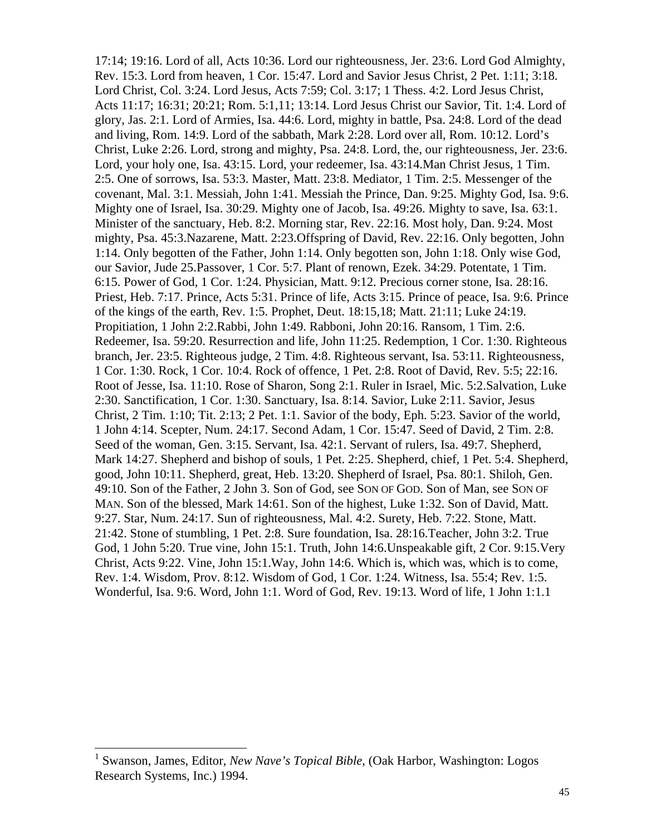17:14; 19:16. Lord of all, Acts 10:36. Lord our righteousness, Jer. 23:6. Lord God Almighty, Rev. 15:3. Lord from heaven, 1 Cor. 15:47. Lord and Savior Jesus Christ, 2 Pet. 1:11; 3:18. Lord Christ, Col. 3:24. Lord Jesus, Acts 7:59; Col. 3:17; 1 Thess. 4:2. Lord Jesus Christ, Acts 11:17; 16:31; 20:21; Rom. 5:1,11; 13:14. Lord Jesus Christ our Savior, Tit. 1:4. Lord of glory, Jas. 2:1. Lord of Armies, Isa. 44:6. Lord, mighty in battle, Psa. 24:8. Lord of the dead and living, Rom. 14:9. Lord of the sabbath, Mark 2:28. Lord over all, Rom. 10:12. Lord's Christ, Luke 2:26. Lord, strong and mighty, Psa. 24:8. Lord, the, our righteousness, Jer. 23:6. Lord, your holy one, Isa. 43:15. Lord, your redeemer, Isa. 43:14.Man Christ Jesus, 1 Tim. 2:5. One of sorrows, Isa. 53:3. Master, Matt. 23:8. Mediator, 1 Tim. 2:5. Messenger of the covenant, Mal. 3:1. Messiah, John 1:41. Messiah the Prince, Dan. 9:25. Mighty God, Isa. 9:6. Mighty one of Israel, Isa. 30:29. Mighty one of Jacob, Isa. 49:26. Mighty to save, Isa. 63:1. Minister of the sanctuary, Heb. 8:2. Morning star, Rev. 22:16. Most holy, Dan. 9:24. Most mighty, Psa. 45:3.Nazarene, Matt. 2:23.Offspring of David, Rev. 22:16. Only begotten, John 1:14. Only begotten of the Father, John 1:14. Only begotten son, John 1:18. Only wise God, our Savior, Jude 25.Passover, 1 Cor. 5:7. Plant of renown, Ezek. 34:29. Potentate, 1 Tim. 6:15. Power of God, 1 Cor. 1:24. Physician, Matt. 9:12. Precious corner stone, Isa. 28:16. Priest, Heb. 7:17. Prince, Acts 5:31. Prince of life, Acts 3:15. Prince of peace, Isa. 9:6. Prince of the kings of the earth, Rev. 1:5. Prophet, Deut. 18:15,18; Matt. 21:11; Luke 24:19. Propitiation, 1 John 2:2.Rabbi, John 1:49. Rabboni, John 20:16. Ransom, 1 Tim. 2:6. Redeemer, Isa. 59:20. Resurrection and life, John 11:25. Redemption, 1 Cor. 1:30. Righteous branch, Jer. 23:5. Righteous judge, 2 Tim. 4:8. Righteous servant, Isa. 53:11. Righteousness, 1 Cor. 1:30. Rock, 1 Cor. 10:4. Rock of offence, 1 Pet. 2:8. Root of David, Rev. 5:5; 22:16. Root of Jesse, Isa. 11:10. Rose of Sharon, Song 2:1. Ruler in Israel, Mic. 5:2.Salvation, Luke 2:30. Sanctification, 1 Cor. 1:30. Sanctuary, Isa. 8:14. Savior, Luke 2:11. Savior, Jesus Christ, 2 Tim. 1:10; Tit. 2:13; 2 Pet. 1:1. Savior of the body, Eph. 5:23. Savior of the world, 1 John 4:14. Scepter, Num. 24:17. Second Adam, 1 Cor. 15:47. Seed of David, 2 Tim. 2:8. Seed of the woman, Gen. 3:15. Servant, Isa. 42:1. Servant of rulers, Isa. 49:7. Shepherd, Mark 14:27. Shepherd and bishop of souls, 1 Pet. 2:25. Shepherd, chief, 1 Pet. 5:4. Shepherd, good, John 10:11. Shepherd, great, Heb. 13:20. Shepherd of Israel, Psa. 80:1. Shiloh, Gen. 49:10. Son of the Father, 2 John 3. Son of God, see SON OF GOD. Son of Man, see SON OF MAN. Son of the blessed, Mark 14:61. Son of the highest, Luke 1:32. Son of David, Matt. 9:27. Star, Num. 24:17. Sun of righteousness, Mal. 4:2. Surety, Heb. 7:22. Stone, Matt. 21:42. Stone of stumbling, 1 Pet. 2:8. Sure foundation, Isa. 28:16.Teacher, John 3:2. True God, 1 John 5:20. True vine, John 15:1. Truth, John 14:6.Unspeakable gift, 2 Cor. 9:15.Very Christ, Acts 9:22. Vine, John 15:1.Way, John 14:6. Which is, which was, which is to come, Rev. 1:4. Wisdom, Prov. 8:12. Wisdom of God, 1 Cor. 1:24. Witness, Isa. 55:4; Rev. 1:5. Wonderful, Isa. 9:6. Word, John 1:1. Word of God, Rev. 19:13. Word of life, 1 John 1:1[.1](#page-45-0)

<span id="page-45-0"></span><sup>|&</sup>lt;br>|<br>| Swanson, James, Editor, *New Nave's Topical Bible*, (Oak Harbor, Washington: Logos Research Systems, Inc.) 1994.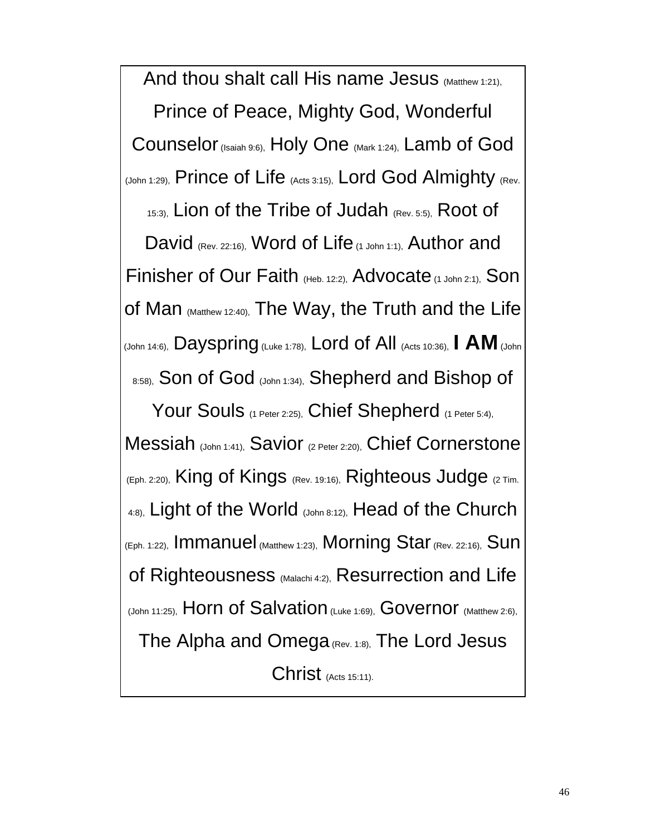And thou shalt call His name Jesus (Matthew 1:21), Prince of Peace, Mighty God, Wonderful Counselor (Isaiah 9:6), Holy One (Mark 1:24), Lamb of God (John 1:29), Prince of Life (Acts 3:15), Lord God Almighty (Rev. 15:3), Lion of the Tribe of Judah (Rev. 5:5), Root of David (Rev. 22:16), Word of Life (1 John 1:1), Author and Finisher of Our Faith (Heb. 12:2), Advocate (1 John 2:1), Son of Man (Matthew 12:40), The Way, the Truth and the Life (John 14:6), Dayspring (Luke 1:78), Lord of All (Acts 10:36), **I AM** (John 8:58), Son of God (John 1:34), Shepherd and Bishop of

Your Souls (1 Peter 2:25), Chief Shepherd (1 Peter 5:4), Messiah (John 1:41), Savior (2 Peter 2:20), Chief Cornerstone  $_{(Eph. 2:20)}$ , King of Kings  $_{(Rev. 19:16)}$ , Righteous Judge  $_{(2)$  Tim. 4:8), Light of the World (John 8:12), Head of the Church (Eph. 1:22), Immanuel (Matthew 1:23), Morning Star (Rev. 22:16), Sun of Righteousness (Malachi 4:2), Resurrection and Life (John 11:25), Horn of Salvation (Luke 1:69), Governor (Matthew 2:6), The Alpha and Omega (Rev. 1:8), The Lord Jesus Christ (Acts 15:11).